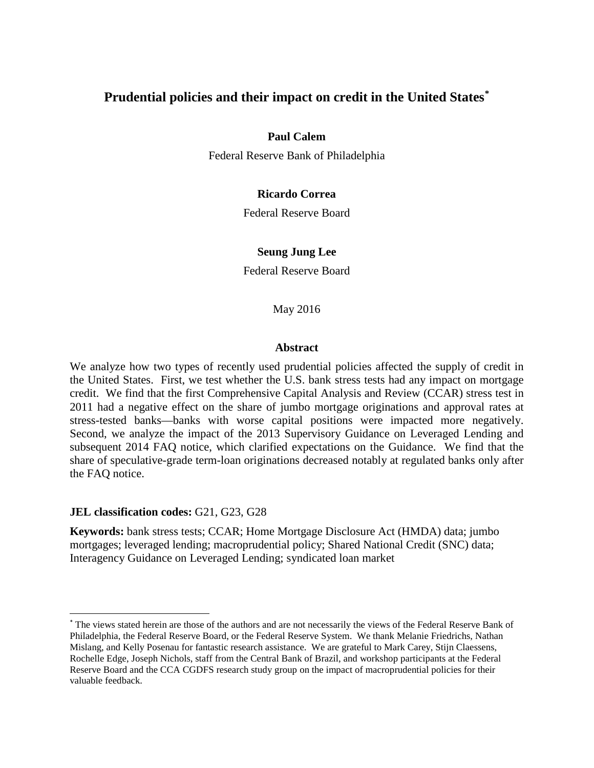# **Prudential policies and their impact on credit in the United States[\\*](#page-0-0)**

# **Paul Calem**

Federal Reserve Bank of Philadelphia

# **Ricardo Correa**

Federal Reserve Board

# **Seung Jung Lee**

Federal Reserve Board

May 2016

# **Abstract**

We analyze how two types of recently used prudential policies affected the supply of credit in the United States. First, we test whether the U.S. bank stress tests had any impact on mortgage credit. We find that the first Comprehensive Capital Analysis and Review (CCAR) stress test in 2011 had a negative effect on the share of jumbo mortgage originations and approval rates at stress-tested banks—banks with worse capital positions were impacted more negatively. Second, we analyze the impact of the 2013 Supervisory Guidance on Leveraged Lending and subsequent 2014 FAQ notice, which clarified expectations on the Guidance. We find that the share of speculative-grade term-loan originations decreased notably at regulated banks only after the FAQ notice.

# **JEL classification codes:** G21, G23, G28

**Keywords:** bank stress tests; CCAR; Home Mortgage Disclosure Act (HMDA) data; jumbo mortgages; leveraged lending; macroprudential policy; Shared National Credit (SNC) data; Interagency Guidance on Leveraged Lending; syndicated loan market

<span id="page-0-0"></span> <sup>\*</sup> The views stated herein are those of the authors and are not necessarily the views of the Federal Reserve Bank of Philadelphia, the Federal Reserve Board, or the Federal Reserve System. We thank Melanie Friedrichs, Nathan Mislang, and Kelly Posenau for fantastic research assistance. We are grateful to Mark Carey, Stijn Claessens, Rochelle Edge, Joseph Nichols, staff from the Central Bank of Brazil, and workshop participants at the Federal Reserve Board and the CCA CGDFS research study group on the impact of macroprudential policies for their valuable feedback.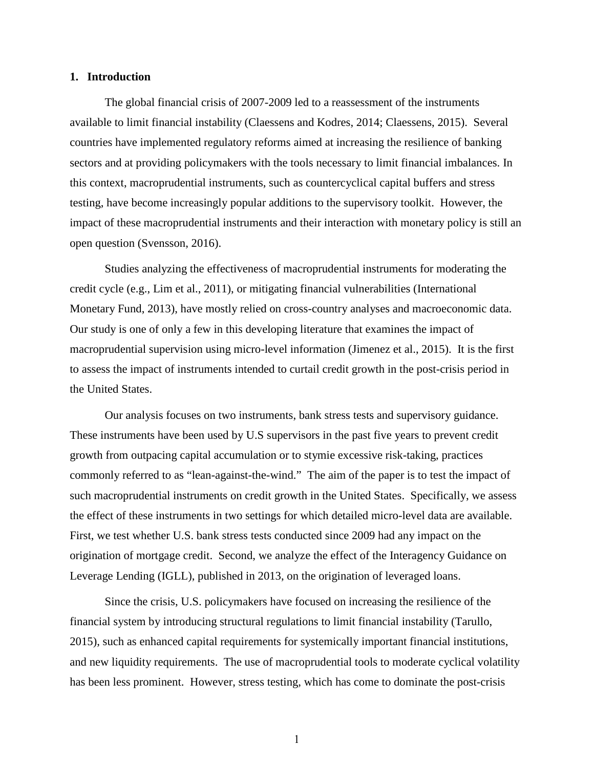### **1. Introduction**

The global financial crisis of 2007-2009 led to a reassessment of the instruments available to limit financial instability (Claessens and Kodres, 2014; Claessens, 2015). Several countries have implemented regulatory reforms aimed at increasing the resilience of banking sectors and at providing policymakers with the tools necessary to limit financial imbalances. In this context, macroprudential instruments, such as countercyclical capital buffers and stress testing, have become increasingly popular additions to the supervisory toolkit. However, the impact of these macroprudential instruments and their interaction with monetary policy is still an open question (Svensson, 2016).

Studies analyzing the effectiveness of macroprudential instruments for moderating the credit cycle (e.g., Lim et al., 2011), or mitigating financial vulnerabilities (International Monetary Fund, 2013), have mostly relied on cross-country analyses and macroeconomic data. Our study is one of only a few in this developing literature that examines the impact of macroprudential supervision using micro-level information (Jimenez et al., 2015). It is the first to assess the impact of instruments intended to curtail credit growth in the post-crisis period in the United States.

Our analysis focuses on two instruments, bank stress tests and supervisory guidance. These instruments have been used by U.S supervisors in the past five years to prevent credit growth from outpacing capital accumulation or to stymie excessive risk-taking, practices commonly referred to as "lean-against-the-wind." The aim of the paper is to test the impact of such macroprudential instruments on credit growth in the United States. Specifically, we assess the effect of these instruments in two settings for which detailed micro-level data are available. First, we test whether U.S. bank stress tests conducted since 2009 had any impact on the origination of mortgage credit. Second, we analyze the effect of the Interagency Guidance on Leverage Lending (IGLL), published in 2013, on the origination of leveraged loans.

 Since the crisis, U.S. policymakers have focused on increasing the resilience of the financial system by introducing structural regulations to limit financial instability (Tarullo, 2015), such as enhanced capital requirements for systemically important financial institutions, and new liquidity requirements. The use of macroprudential tools to moderate cyclical volatility has been less prominent. However, stress testing, which has come to dominate the post-crisis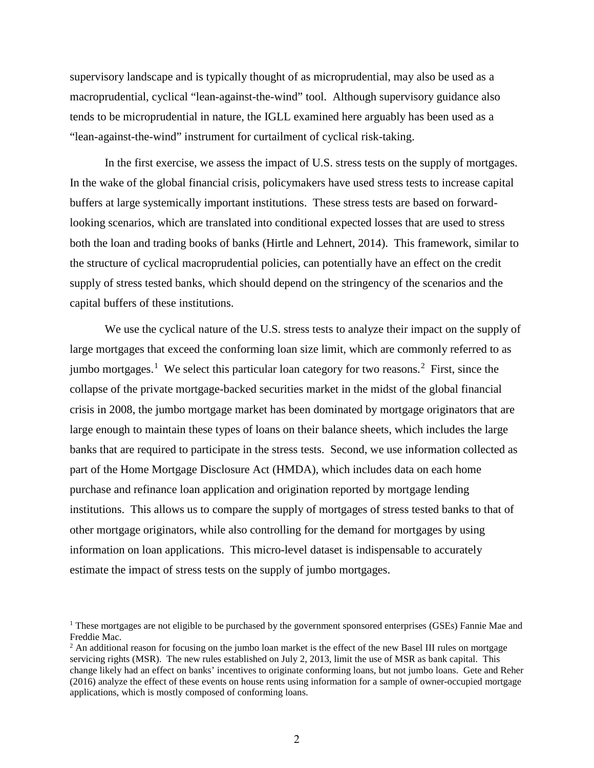supervisory landscape and is typically thought of as microprudential, may also be used as a macroprudential, cyclical "lean-against-the-wind" tool. Although supervisory guidance also tends to be microprudential in nature, the IGLL examined here arguably has been used as a "lean-against-the-wind" instrument for curtailment of cyclical risk-taking.

In the first exercise, we assess the impact of U.S. stress tests on the supply of mortgages. In the wake of the global financial crisis, policymakers have used stress tests to increase capital buffers at large systemically important institutions. These stress tests are based on forwardlooking scenarios, which are translated into conditional expected losses that are used to stress both the loan and trading books of banks (Hirtle and Lehnert, 2014). This framework, similar to the structure of cyclical macroprudential policies, can potentially have an effect on the credit supply of stress tested banks, which should depend on the stringency of the scenarios and the capital buffers of these institutions.

We use the cyclical nature of the U.S. stress tests to analyze their impact on the supply of large mortgages that exceed the conforming loan size limit, which are commonly referred to as jumbo mortgages.<sup>[1](#page-2-0)</sup> We select this particular loan category for two reasons.<sup>[2](#page-2-1)</sup> First, since the collapse of the private mortgage-backed securities market in the midst of the global financial crisis in 2008, the jumbo mortgage market has been dominated by mortgage originators that are large enough to maintain these types of loans on their balance sheets, which includes the large banks that are required to participate in the stress tests. Second, we use information collected as part of the Home Mortgage Disclosure Act (HMDA), which includes data on each home purchase and refinance loan application and origination reported by mortgage lending institutions. This allows us to compare the supply of mortgages of stress tested banks to that of other mortgage originators, while also controlling for the demand for mortgages by using information on loan applications. This micro-level dataset is indispensable to accurately estimate the impact of stress tests on the supply of jumbo mortgages.

<span id="page-2-0"></span><sup>&</sup>lt;sup>1</sup> These mortgages are not eligible to be purchased by the government sponsored enterprises (GSEs) Fannie Mae and Freddie Mac.<br><sup>2</sup> An additional reason for focusing on the jumbo loan market is the effect of the new Basel III rules on mortgage

<span id="page-2-1"></span>servicing rights (MSR). The new rules established on July 2, 2013, limit the use of MSR as bank capital. This change likely had an effect on banks' incentives to originate conforming loans, but not jumbo loans. Gete and Reher (2016) analyze the effect of these events on house rents using information for a sample of owner-occupied mortgage applications, which is mostly composed of conforming loans.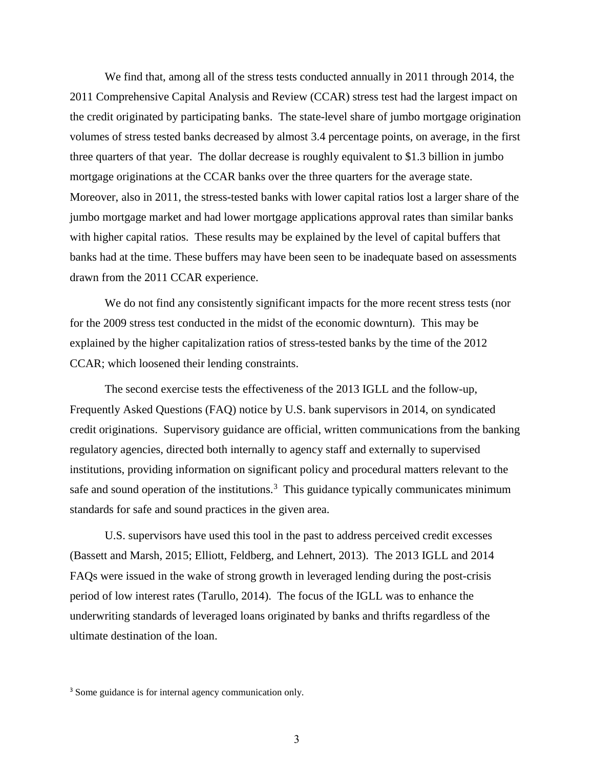We find that, among all of the stress tests conducted annually in 2011 through 2014, the 2011 Comprehensive Capital Analysis and Review (CCAR) stress test had the largest impact on the credit originated by participating banks. The state-level share of jumbo mortgage origination volumes of stress tested banks decreased by almost 3.4 percentage points, on average, in the first three quarters of that year. The dollar decrease is roughly equivalent to \$1.3 billion in jumbo mortgage originations at the CCAR banks over the three quarters for the average state. Moreover, also in 2011, the stress-tested banks with lower capital ratios lost a larger share of the jumbo mortgage market and had lower mortgage applications approval rates than similar banks with higher capital ratios. These results may be explained by the level of capital buffers that banks had at the time. These buffers may have been seen to be inadequate based on assessments drawn from the 2011 CCAR experience.

We do not find any consistently significant impacts for the more recent stress tests (nor for the 2009 stress test conducted in the midst of the economic downturn). This may be explained by the higher capitalization ratios of stress-tested banks by the time of the 2012 CCAR; which loosened their lending constraints.

The second exercise tests the effectiveness of the 2013 IGLL and the follow-up, Frequently Asked Questions (FAQ) notice by U.S. bank supervisors in 2014, on syndicated credit originations. Supervisory guidance are official, written communications from the banking regulatory agencies, directed both internally to agency staff and externally to supervised institutions, providing information on significant policy and procedural matters relevant to the safe and sound operation of the institutions. $3$  This guidance typically communicates minimum standards for safe and sound practices in the given area.

U.S. supervisors have used this tool in the past to address perceived credit excesses (Bassett and Marsh, 2015; Elliott, Feldberg, and Lehnert, 2013). The 2013 IGLL and 2014 FAQs were issued in the wake of strong growth in leveraged lending during the post-crisis period of low interest rates (Tarullo, 2014). The focus of the IGLL was to enhance the underwriting standards of leveraged loans originated by banks and thrifts regardless of the ultimate destination of the loan.

<span id="page-3-0"></span><sup>&</sup>lt;sup>3</sup> Some guidance is for internal agency communication only.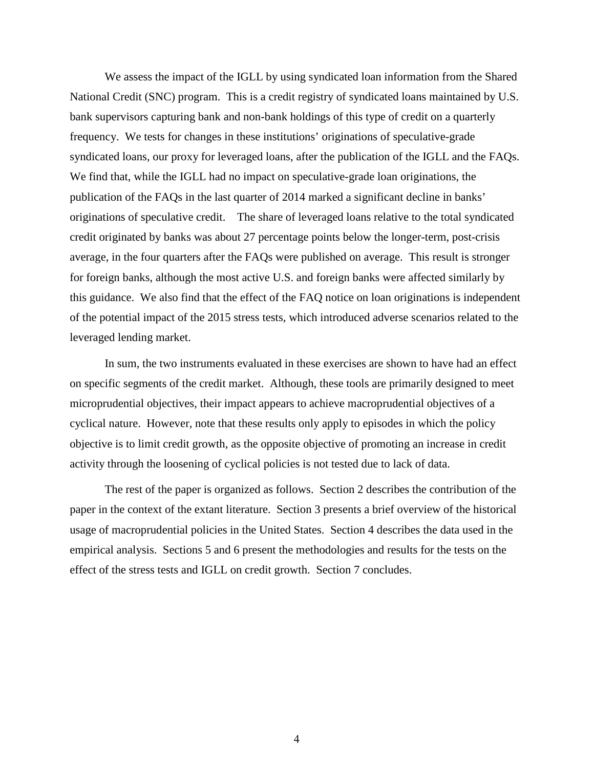We assess the impact of the IGLL by using syndicated loan information from the Shared National Credit (SNC) program. This is a credit registry of syndicated loans maintained by U.S. bank supervisors capturing bank and non-bank holdings of this type of credit on a quarterly frequency. We tests for changes in these institutions' originations of speculative-grade syndicated loans, our proxy for leveraged loans, after the publication of the IGLL and the FAQs. We find that, while the IGLL had no impact on speculative-grade loan originations, the publication of the FAQs in the last quarter of 2014 marked a significant decline in banks' originations of speculative credit. The share of leveraged loans relative to the total syndicated credit originated by banks was about 27 percentage points below the longer-term, post-crisis average, in the four quarters after the FAQs were published on average. This result is stronger for foreign banks, although the most active U.S. and foreign banks were affected similarly by this guidance. We also find that the effect of the FAQ notice on loan originations is independent of the potential impact of the 2015 stress tests, which introduced adverse scenarios related to the leveraged lending market.

In sum, the two instruments evaluated in these exercises are shown to have had an effect on specific segments of the credit market. Although, these tools are primarily designed to meet microprudential objectives, their impact appears to achieve macroprudential objectives of a cyclical nature. However, note that these results only apply to episodes in which the policy objective is to limit credit growth, as the opposite objective of promoting an increase in credit activity through the loosening of cyclical policies is not tested due to lack of data.

The rest of the paper is organized as follows. Section 2 describes the contribution of the paper in the context of the extant literature. Section 3 presents a brief overview of the historical usage of macroprudential policies in the United States. Section 4 describes the data used in the empirical analysis. Sections 5 and 6 present the methodologies and results for the tests on the effect of the stress tests and IGLL on credit growth. Section 7 concludes.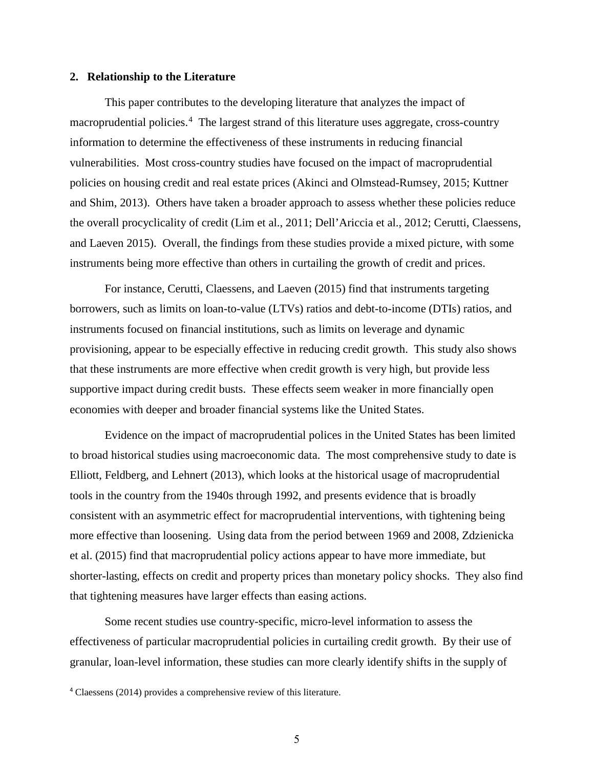#### **2. Relationship to the Literature**

This paper contributes to the developing literature that analyzes the impact of macroprudential policies.<sup>[4](#page-5-0)</sup> The largest strand of this literature uses aggregate, cross-country information to determine the effectiveness of these instruments in reducing financial vulnerabilities. Most cross-country studies have focused on the impact of macroprudential policies on housing credit and real estate prices (Akinci and Olmstead-Rumsey, 2015; Kuttner and Shim, 2013). Others have taken a broader approach to assess whether these policies reduce the overall procyclicality of credit (Lim et al., 2011; Dell'Ariccia et al., 2012; Cerutti, Claessens, and Laeven 2015). Overall, the findings from these studies provide a mixed picture, with some instruments being more effective than others in curtailing the growth of credit and prices.

For instance, Cerutti, Claessens, and Laeven (2015) find that instruments targeting borrowers, such as limits on loan-to-value (LTVs) ratios and debt-to-income (DTIs) ratios, and instruments focused on financial institutions, such as limits on leverage and dynamic provisioning, appear to be especially effective in reducing credit growth. This study also shows that these instruments are more effective when credit growth is very high, but provide less supportive impact during credit busts. These effects seem weaker in more financially open economies with deeper and broader financial systems like the United States.

Evidence on the impact of macroprudential polices in the United States has been limited to broad historical studies using macroeconomic data. The most comprehensive study to date is Elliott, Feldberg, and Lehnert (2013), which looks at the historical usage of macroprudential tools in the country from the 1940s through 1992, and presents evidence that is broadly consistent with an asymmetric effect for macroprudential interventions, with tightening being more effective than loosening. Using data from the period between 1969 and 2008, Zdzienicka et al. (2015) find that macroprudential policy actions appear to have more immediate, but shorter-lasting, effects on credit and property prices than monetary policy shocks. They also find that tightening measures have larger effects than easing actions.

Some recent studies use country-specific, micro-level information to assess the effectiveness of particular macroprudential policies in curtailing credit growth. By their use of granular, loan-level information, these studies can more clearly identify shifts in the supply of

<span id="page-5-0"></span><sup>4</sup> Claessens (2014) provides a comprehensive review of this literature.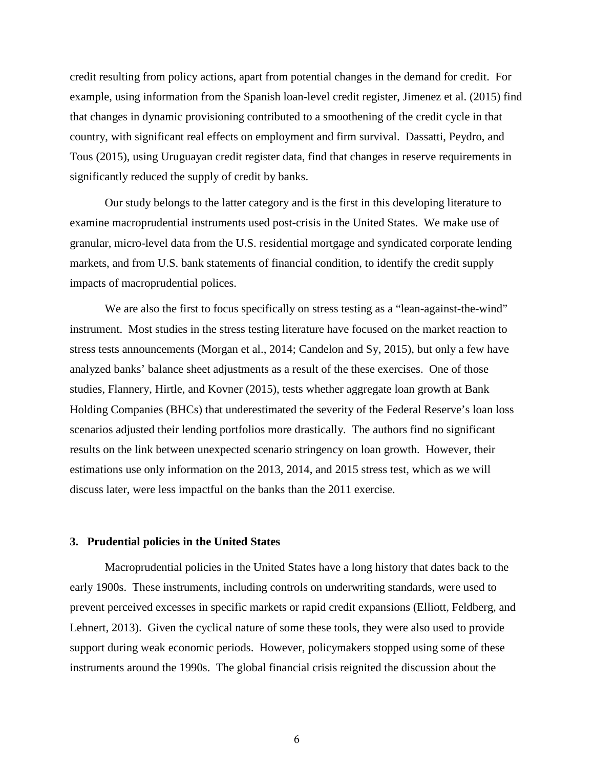credit resulting from policy actions, apart from potential changes in the demand for credit. For example, using information from the Spanish loan-level credit register, Jimenez et al. (2015) find that changes in dynamic provisioning contributed to a smoothening of the credit cycle in that country, with significant real effects on employment and firm survival. Dassatti, Peydro, and Tous (2015), using Uruguayan credit register data, find that changes in reserve requirements in significantly reduced the supply of credit by banks.

Our study belongs to the latter category and is the first in this developing literature to examine macroprudential instruments used post-crisis in the United States. We make use of granular, micro-level data from the U.S. residential mortgage and syndicated corporate lending markets, and from U.S. bank statements of financial condition, to identify the credit supply impacts of macroprudential polices.

We are also the first to focus specifically on stress testing as a "lean-against-the-wind" instrument. Most studies in the stress testing literature have focused on the market reaction to stress tests announcements (Morgan et al., 2014; Candelon and Sy, 2015), but only a few have analyzed banks' balance sheet adjustments as a result of the these exercises. One of those studies, Flannery, Hirtle, and Kovner (2015), tests whether aggregate loan growth at Bank Holding Companies (BHCs) that underestimated the severity of the Federal Reserve's loan loss scenarios adjusted their lending portfolios more drastically. The authors find no significant results on the link between unexpected scenario stringency on loan growth. However, their estimations use only information on the 2013, 2014, and 2015 stress test, which as we will discuss later, were less impactful on the banks than the 2011 exercise.

#### **3. Prudential policies in the United States**

Macroprudential policies in the United States have a long history that dates back to the early 1900s. These instruments, including controls on underwriting standards, were used to prevent perceived excesses in specific markets or rapid credit expansions (Elliott, Feldberg, and Lehnert, 2013). Given the cyclical nature of some these tools, they were also used to provide support during weak economic periods. However, policymakers stopped using some of these instruments around the 1990s. The global financial crisis reignited the discussion about the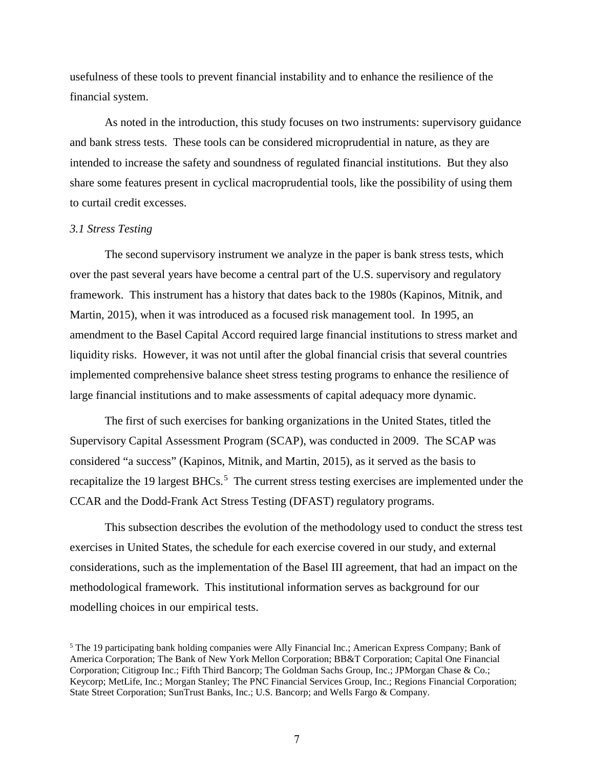usefulness of these tools to prevent financial instability and to enhance the resilience of the financial system.

As noted in the introduction, this study focuses on two instruments: supervisory guidance and bank stress tests. These tools can be considered microprudential in nature, as they are intended to increase the safety and soundness of regulated financial institutions. But they also share some features present in cyclical macroprudential tools, like the possibility of using them to curtail credit excesses.

# *3.1 Stress Testing*

The second supervisory instrument we analyze in the paper is bank stress tests, which over the past several years have become a central part of the U.S. supervisory and regulatory framework. This instrument has a history that dates back to the 1980s (Kapinos, Mitnik, and Martin, 2015), when it was introduced as a focused risk management tool. In 1995, an amendment to the Basel Capital Accord required large financial institutions to stress market and liquidity risks. However, it was not until after the global financial crisis that several countries implemented comprehensive balance sheet stress testing programs to enhance the resilience of large financial institutions and to make assessments of capital adequacy more dynamic.

The first of such exercises for banking organizations in the United States, titled the Supervisory Capital Assessment Program (SCAP), was conducted in 2009. The SCAP was considered "a success" (Kapinos, Mitnik, and Martin, 2015), as it served as the basis to recapitalize the 19 largest BHCs.<sup>[5](#page-7-0)</sup> The current stress testing exercises are implemented under the CCAR and the Dodd-Frank Act Stress Testing (DFAST) regulatory programs.

This subsection describes the evolution of the methodology used to conduct the stress test exercises in United States, the schedule for each exercise covered in our study, and external considerations, such as the implementation of the Basel III agreement, that had an impact on the methodological framework. This institutional information serves as background for our modelling choices in our empirical tests.

<span id="page-7-0"></span><sup>5</sup> The 19 participating bank holding companies were Ally Financial Inc.; American Express Company; Bank of America Corporation; The Bank of New York Mellon Corporation; BB&T Corporation; Capital One Financial Corporation; Citigroup Inc.; Fifth Third Bancorp; The Goldman Sachs Group, Inc.; JPMorgan Chase & Co.; Keycorp; MetLife, Inc.; Morgan Stanley; The PNC Financial Services Group, Inc.; Regions Financial Corporation; State Street Corporation; SunTrust Banks, Inc.; U.S. Bancorp; and Wells Fargo & Company.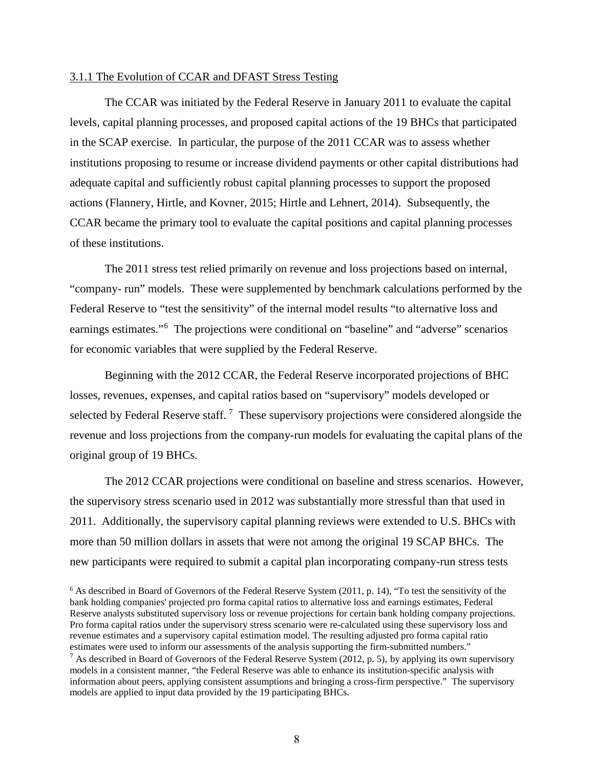# 3.1.1 The Evolution of CCAR and DFAST Stress Testing

The CCAR was initiated by the Federal Reserve in January 2011 to evaluate the capital levels, capital planning processes, and proposed capital actions of the 19 BHCs that participated in the SCAP exercise. In particular, the purpose of the 2011 CCAR was to assess whether institutions proposing to resume or increase dividend payments or other capital distributions had adequate capital and sufficiently robust capital planning processes to support the proposed actions (Flannery, Hirtle, and Kovner, 2015; Hirtle and Lehnert, 2014). Subsequently, the CCAR became the primary tool to evaluate the capital positions and capital planning processes of these institutions.

 The 2011 stress test relied primarily on revenue and loss projections based on internal, "company- run" models. These were supplemented by benchmark calculations performed by the Federal Reserve to "test the sensitivity" of the internal model results "to alternative loss and earnings estimates."<sup>[6](#page-8-0)</sup> The projections were conditional on "baseline" and "adverse" scenarios for economic variables that were supplied by the Federal Reserve.

 Beginning with the 2012 CCAR, the Federal Reserve incorporated projections of BHC losses, revenues, expenses, and capital ratios based on "supervisory" models developed or selected by Federal Reserve staff.<sup>[7](#page-8-1)</sup> These supervisory projections were considered alongside the revenue and loss projections from the company-run models for evaluating the capital plans of the original group of 19 BHCs.

The 2012 CCAR projections were conditional on baseline and stress scenarios. However, the supervisory stress scenario used in 2012 was substantially more stressful than that used in 2011. Additionally, the supervisory capital planning reviews were extended to U.S. BHCs with more than 50 million dollars in assets that were not among the original 19 SCAP BHCs. The new participants were required to submit a capital plan incorporating company-run stress tests

<span id="page-8-1"></span><span id="page-8-0"></span> $6$  As described in Board of Governors of the Federal Reserve System (2011, p. 14), "To test the sensitivity of the bank holding companies' projected pro forma capital ratios to alternative loss and earnings estimates, Federal Reserve analysts substituted supervisory loss or revenue projections for certain bank holding company projections. Pro forma capital ratios under the supervisory stress scenario were re-calculated using these supervisory loss and revenue estimates and a supervisory capital estimation model. The resulting adjusted pro forma capital ratio estimates were used to inform our assessments of the analysis supporting the firm-submitted numbers." <sup>7</sup> As described in Board of Governors of the Federal Reserve System (2012, p. 5), by applying its own supervisory models in a consistent manner, "the Federal Reserve was able to enhance its institution-specific analysis with information about peers, applying consistent assumptions and bringing a cross-firm perspective." The supervisory models are applied to input data provided by the 19 participating BHCs.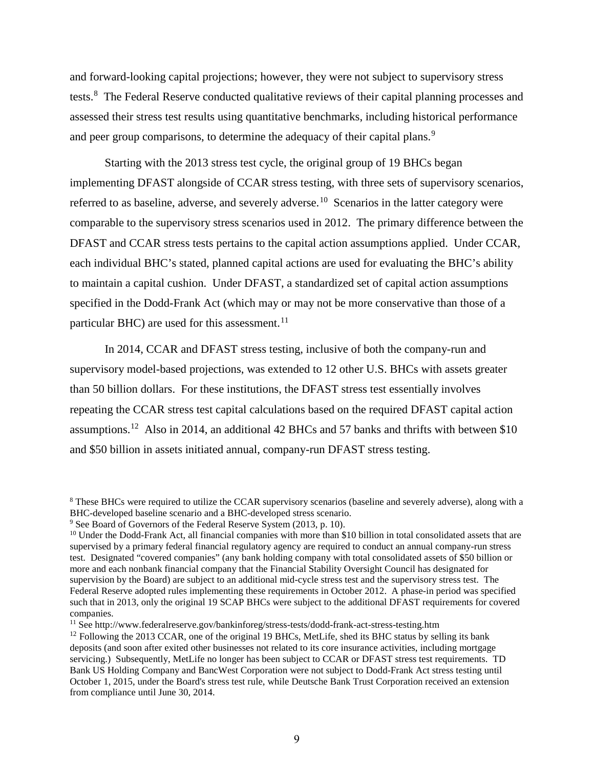and forward-looking capital projections; however, they were not subject to supervisory stress tests.<sup>[8](#page-9-0)</sup> The Federal Reserve conducted qualitative reviews of their capital planning processes and assessed their stress test results using quantitative benchmarks, including historical performance and peer group comparisons, to determine the adequacy of their capital plans.<sup>[9](#page-9-1)</sup>

Starting with the 2013 stress test cycle, the original group of 19 BHCs began implementing DFAST alongside of CCAR stress testing, with three sets of supervisory scenarios, referred to as baseline, adverse, and severely adverse.<sup>10</sup> Scenarios in the latter category were comparable to the supervisory stress scenarios used in 2012. The primary difference between the DFAST and CCAR stress tests pertains to the capital action assumptions applied. Under CCAR, each individual BHC's stated, planned capital actions are used for evaluating the BHC's ability to maintain a capital cushion. Under DFAST, a standardized set of capital action assumptions specified in the Dodd-Frank Act (which may or may not be more conservative than those of a particular BHC) are used for this assessment.<sup>11</sup>

 In 2014, CCAR and DFAST stress testing, inclusive of both the company-run and supervisory model-based projections, was extended to 12 other U.S. BHCs with assets greater than 50 billion dollars. For these institutions, the DFAST stress test essentially involves repeating the CCAR stress test capital calculations based on the required DFAST capital action assumptions.<sup>[12](#page-9-4)</sup> Also in 2014, an additional 42 BHCs and 57 banks and thrifts with between \$10 and \$50 billion in assets initiated annual, company-run DFAST stress testing.

<span id="page-9-0"></span><sup>&</sup>lt;sup>8</sup> These BHCs were required to utilize the CCAR supervisory scenarios (baseline and severely adverse), along with a BHC-developed baseline scenario and a BHC-developed stress scenario.

<span id="page-9-1"></span><sup>&</sup>lt;sup>9</sup> See Board of Governors of the Federal Reserve System (2013, p. 10).

<span id="page-9-2"></span> $10$  Under the Dodd-Frank Act, all financial companies with more than \$10 billion in total consolidated assets that are supervised by a primary federal financial regulatory agency are required to conduct an annual company-run stress test. Designated "covered companies" (any bank holding company with total consolidated assets of \$50 billion or more and each nonbank financial company that the Financial Stability Oversight Council has designated for supervision by the Board) are subject to an additional mid-cycle stress test and the supervisory stress test. The Federal Reserve adopted rules implementing these requirements in October 2012. A phase-in period was specified such that in 2013, only the original 19 SCAP BHCs were subject to the additional DFAST requirements for covered companies.

<span id="page-9-3"></span><sup>11</sup> See http://www.federalreserve.gov/bankinforeg/stress-tests/dodd-frank-act-stress-testing.htm

<span id="page-9-4"></span> $12$  Following the 2013 CCAR, one of the original 19 BHCs, MetLife, shed its BHC status by selling its bank deposits (and soon after exited other businesses not related to its core insurance activities, including mortgage servicing.) Subsequently, MetLife no longer has been subject to CCAR or DFAST stress test requirements. TD Bank US Holding Company and BancWest Corporation were not subject to Dodd-Frank Act stress testing until October 1, 2015, under the Board's stress test rule, while Deutsche Bank Trust Corporation received an extension from compliance until June 30, 2014.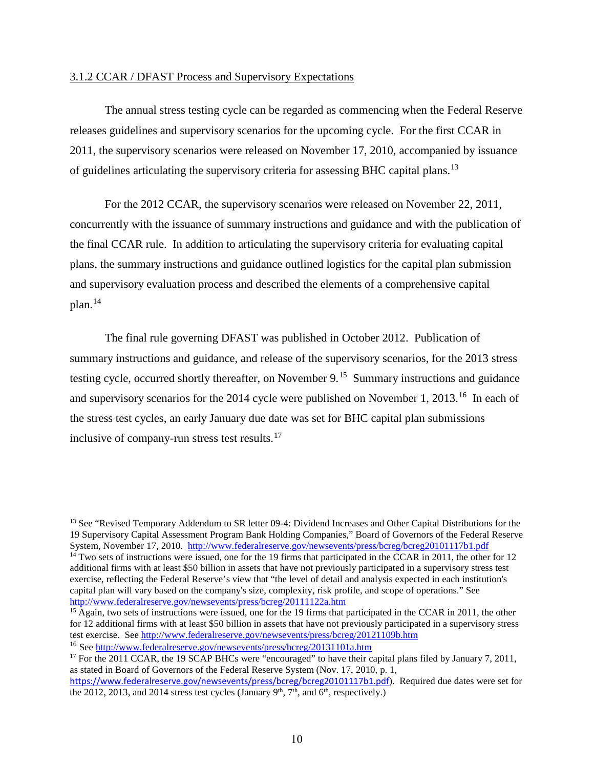# 3.1.2 CCAR / DFAST Process and Supervisory Expectations

 The annual stress testing cycle can be regarded as commencing when the Federal Reserve releases guidelines and supervisory scenarios for the upcoming cycle. For the first CCAR in 2011, the supervisory scenarios were released on November 17, 2010, accompanied by issuance of guidelines articulating the supervisory criteria for assessing BHC capital plans.<sup>13</sup>

 For the 2012 CCAR, the supervisory scenarios were released on November 22, 2011, concurrently with the issuance of summary instructions and guidance and with the publication of the final CCAR rule. In addition to articulating the supervisory criteria for evaluating capital plans, the summary instructions and guidance outlined logistics for the capital plan submission and supervisory evaluation process and described the elements of a comprehensive capital  $plan.<sup>14</sup>$  $plan.<sup>14</sup>$  $plan.<sup>14</sup>$ 

 The final rule governing DFAST was published in October 2012. Publication of summary instructions and guidance, and release of the supervisory scenarios, for the 2013 stress testing cycle, occurred shortly thereafter, on November 9.<sup>15</sup> Summary instructions and guidance and supervisory scenarios for the 2014 cycle were published on November 1, 2013.<sup>[16](#page-10-3)</sup> In each of the stress test cycles, an early January due date was set for BHC capital plan submissions inclusive of company-run stress test results.<sup>17</sup>

<span id="page-10-1"></span><span id="page-10-0"></span><sup>&</sup>lt;sup>13</sup> See "Revised Temporary Addendum to SR letter 09-4: Dividend Increases and Other Capital Distributions for the 19 Supervisory Capital Assessment Program Bank Holding Companies," Board of Governors of the Federal Reserve System, November 17, 2010.<http://www.federalreserve.gov/newsevents/press/bcreg/bcreg20101117b1.pdf>  $14$  Two sets of instructions were issued, one for the 19 firms that participated in the CCAR in 2011, the other for 12 additional firms with at least \$50 billion in assets that have not previously participated in a supervisory stress test exercise, reflecting the Federal Reserve's view that "the level of detail and analysis expected in each institution's capital plan will vary based on the company's size, complexity, risk profile, and scope of operations." See <http://www.federalreserve.gov/newsevents/press/bcreg/20111122a.htm>

<span id="page-10-2"></span><sup>&</sup>lt;sup>15</sup> Again, two sets of instructions were issued, one for the 19 firms that participated in the CCAR in 2011, the other for 12 additional firms with at least \$50 billion in assets that have not previously participated in a supervisory stress test exercise. Se[e http://www.federalreserve.gov/newsevents/press/bcreg/20121109b.htm](http://www.federalreserve.gov/newsevents/press/bcreg/20121109b.htm) <sup>16</sup> Se[e http://www.federalreserve.gov/newsevents/press/bcreg/20131101a.htm](http://www.federalreserve.gov/newsevents/press/bcreg/20131101a.htm)

<span id="page-10-4"></span><span id="page-10-3"></span><sup>&</sup>lt;sup>17</sup> For the 2011 CCAR, the 19 SCAP BHCs were "encouraged" to have their capital plans filed by January 7, 2011, as stated in Board of Governors of the Federal Reserve System (Nov. 17, 2010, p. 1,

https://www.federalreserve.gov/newsevents/press/bcreg/bcreg20101117b1.pdf). Required due dates were set for the 2012, 2013, and 2014 stress test cycles (January  $9<sup>th</sup>$ ,  $7<sup>th</sup>$ , and  $6<sup>th</sup>$ , respectively.)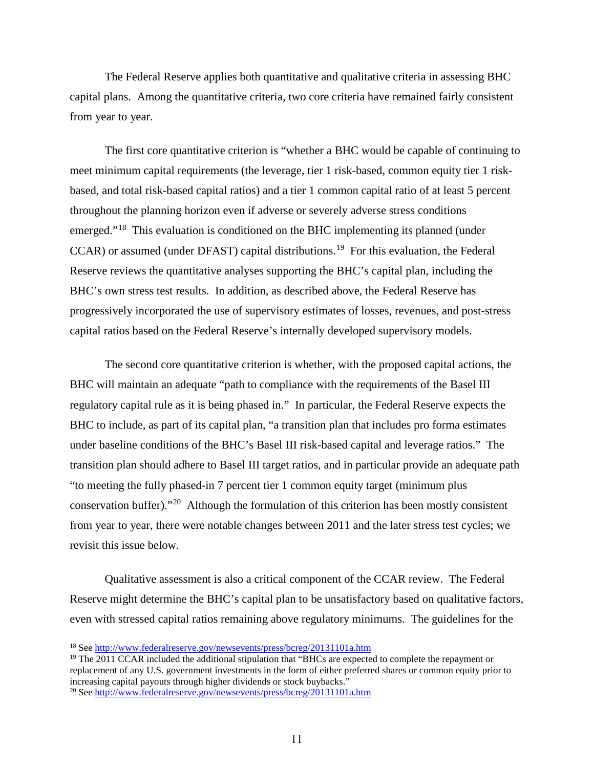The Federal Reserve applies both quantitative and qualitative criteria in assessing BHC capital plans. Among the quantitative criteria, two core criteria have remained fairly consistent from year to year.

 The first core quantitative criterion is "whether a BHC would be capable of continuing to meet minimum capital requirements (the leverage, tier 1 risk-based, common equity tier 1 riskbased, and total risk-based capital ratios) and a tier 1 common capital ratio of at least 5 percent throughout the planning horizon even if adverse or severely adverse stress conditions emerged."[18](#page-11-0) This evaluation is conditioned on the BHC implementing its planned (under CCAR) or assumed (under DFAST) capital distributions.<sup>[19](#page-11-1)</sup> For this evaluation, the Federal Reserve reviews the quantitative analyses supporting the BHC's capital plan, including the BHC's own stress test results. In addition, as described above, the Federal Reserve has progressively incorporated the use of supervisory estimates of losses, revenues, and post-stress capital ratios based on the Federal Reserve's internally developed supervisory models.

 The second core quantitative criterion is whether, with the proposed capital actions, the BHC will maintain an adequate "path to compliance with the requirements of the Basel III regulatory capital rule as it is being phased in." In particular, the Federal Reserve expects the BHC to include, as part of its capital plan, "a transition plan that includes pro forma estimates under baseline conditions of the BHC's Basel III risk-based capital and leverage ratios." The transition plan should adhere to Basel III target ratios, and in particular provide an adequate path "to meeting the fully phased-in 7 percent tier 1 common equity target (minimum plus conservation buffer)."[20](#page-11-2) Although the formulation of this criterion has been mostly consistent from year to year, there were notable changes between 2011 and the later stress test cycles; we revisit this issue below.

 Qualitative assessment is also a critical component of the CCAR review. The Federal Reserve might determine the BHC's capital plan to be unsatisfactory based on qualitative factors, even with stressed capital ratios remaining above regulatory minimums. The guidelines for the

<span id="page-11-0"></span><sup>18</sup> See<http://www.federalreserve.gov/newsevents/press/bcreg/20131101a.htm>

<span id="page-11-1"></span><sup>&</sup>lt;sup>19</sup> The 2011 CCAR included the additional stipulation that "BHCs are expected to complete the repayment or replacement of any U.S. government investments in the form of either preferred shares or common equity prior to increasing capital payouts through higher dividends or stock buybacks."

<span id="page-11-2"></span><sup>20</sup> See<http://www.federalreserve.gov/newsevents/press/bcreg/20131101a.htm>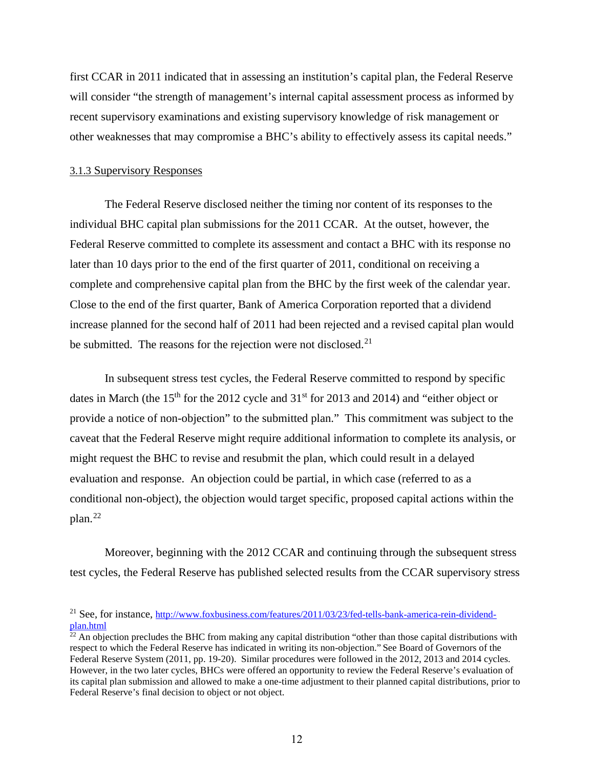first CCAR in 2011 indicated that in assessing an institution's capital plan, the Federal Reserve will consider "the strength of management's internal capital assessment process as informed by recent supervisory examinations and existing supervisory knowledge of risk management or other weaknesses that may compromise a BHC's ability to effectively assess its capital needs."

### 3.1.3 Supervisory Responses

 The Federal Reserve disclosed neither the timing nor content of its responses to the individual BHC capital plan submissions for the 2011 CCAR. At the outset, however, the Federal Reserve committed to complete its assessment and contact a BHC with its response no later than 10 days prior to the end of the first quarter of 2011, conditional on receiving a complete and comprehensive capital plan from the BHC by the first week of the calendar year. Close to the end of the first quarter, Bank of America Corporation reported that a dividend increase planned for the second half of 2011 had been rejected and a revised capital plan would be submitted. The reasons for the rejection were not disclosed.<sup>[21](#page-12-0)</sup>

 In subsequent stress test cycles, the Federal Reserve committed to respond by specific dates in March (the  $15<sup>th</sup>$  for the 2012 cycle and  $31<sup>st</sup>$  for 2013 and 2014) and "either object or provide a notice of non-objection" to the submitted plan." This commitment was subject to the caveat that the Federal Reserve might require additional information to complete its analysis, or might request the BHC to revise and resubmit the plan, which could result in a delayed evaluation and response. An objection could be partial, in which case (referred to as a conditional non-object), the objection would target specific, proposed capital actions within the plan.[22](#page-12-1)

 Moreover, beginning with the 2012 CCAR and continuing through the subsequent stress test cycles, the Federal Reserve has published selected results from the CCAR supervisory stress

<span id="page-12-0"></span><sup>&</sup>lt;sup>21</sup> See, for instance, [http://www.foxbusiness.com/features/2011/03/23/fed-tells-bank-america-rein-dividend](http://www.foxbusiness.com/features/2011/03/23/fed-tells-bank-america-rein-dividend-plan.html)[plan.html](http://www.foxbusiness.com/features/2011/03/23/fed-tells-bank-america-rein-dividend-plan.html)

<span id="page-12-1"></span> $22$  An objection precludes the BHC from making any capital distribution "other than those capital distributions with respect to which the Federal Reserve has indicated in writing its non-objection." See Board of Governors of the Federal Reserve System (2011, pp. 19-20). Similar procedures were followed in the 2012, 2013 and 2014 cycles. However, in the two later cycles, BHCs were offered an opportunity to review the Federal Reserve's evaluation of its capital plan submission and allowed to make a one-time adjustment to their planned capital distributions, prior to Federal Reserve's final decision to object or not object.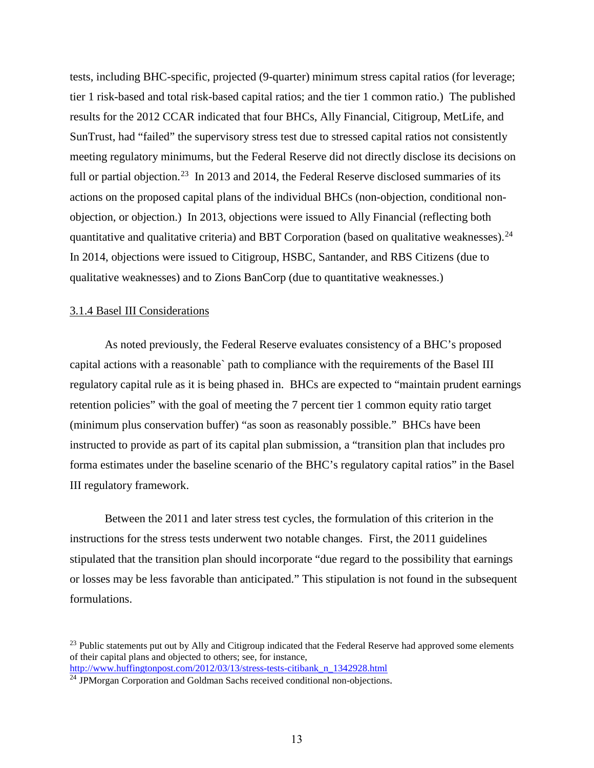tests, including BHC-specific, projected (9-quarter) minimum stress capital ratios (for leverage; tier 1 risk-based and total risk-based capital ratios; and the tier 1 common ratio.) The published results for the 2012 CCAR indicated that four BHCs, Ally Financial, Citigroup, MetLife, and SunTrust, had "failed" the supervisory stress test due to stressed capital ratios not consistently meeting regulatory minimums, but the Federal Reserve did not directly disclose its decisions on full or partial objection.<sup>23</sup> In 2013 and 2014, the Federal Reserve disclosed summaries of its actions on the proposed capital plans of the individual BHCs (non-objection, conditional nonobjection, or objection.) In 2013, objections were issued to Ally Financial (reflecting both quantitative and qualitative criteria) and BBT Corporation (based on qualitative weaknesses). $^{24}$ In 2014, objections were issued to Citigroup, HSBC, Santander, and RBS Citizens (due to qualitative weaknesses) and to Zions BanCorp (due to quantitative weaknesses.)

### 3.1.4 Basel III Considerations

 As noted previously, the Federal Reserve evaluates consistency of a BHC's proposed capital actions with a reasonable` path to compliance with the requirements of the Basel III regulatory capital rule as it is being phased in. BHCs are expected to "maintain prudent earnings retention policies" with the goal of meeting the 7 percent tier 1 common equity ratio target (minimum plus conservation buffer) "as soon as reasonably possible." BHCs have been instructed to provide as part of its capital plan submission, a "transition plan that includes pro forma estimates under the baseline scenario of the BHC's regulatory capital ratios" in the Basel III regulatory framework.

 Between the 2011 and later stress test cycles, the formulation of this criterion in the instructions for the stress tests underwent two notable changes. First, the 2011 guidelines stipulated that the transition plan should incorporate "due regard to the possibility that earnings or losses may be less favorable than anticipated." This stipulation is not found in the subsequent formulations.

<span id="page-13-0"></span><sup>&</sup>lt;sup>23</sup> Public statements put out by Ally and Citigroup indicated that the Federal Reserve had approved some elements of their capital plans and objected to others; see, for instance,

[http://www.huffingtonpost.com/2012/03/13/stress-tests-citibank\\_n\\_1342928.html](http://www.huffingtonpost.com/2012/03/13/stress-tests-citibank_n_1342928.html)

<span id="page-13-1"></span><sup>&</sup>lt;sup>24</sup> JPMorgan Corporation and Goldman Sachs received conditional non-objections.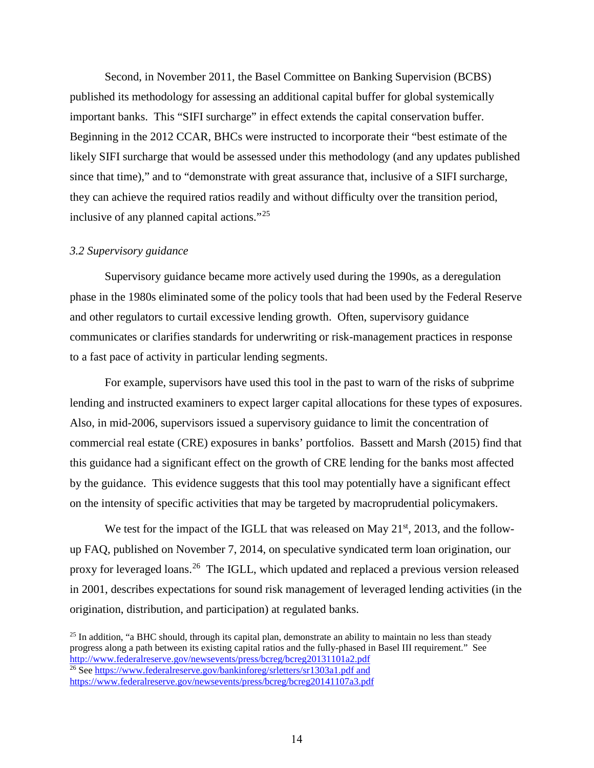Second, in November 2011, the Basel Committee on Banking Supervision (BCBS) published its methodology for assessing an additional capital buffer for global systemically important banks. This "SIFI surcharge" in effect extends the capital conservation buffer. Beginning in the 2012 CCAR, BHCs were instructed to incorporate their "best estimate of the likely SIFI surcharge that would be assessed under this methodology (and any updates published since that time)," and to "demonstrate with great assurance that, inclusive of a SIFI surcharge, they can achieve the required ratios readily and without difficulty over the transition period, inclusive of any planned capital actions."[25](#page-14-0)

# *3.2 Supervisory guidance*

Supervisory guidance became more actively used during the 1990s, as a deregulation phase in the 1980s eliminated some of the policy tools that had been used by the Federal Reserve and other regulators to curtail excessive lending growth. Often, supervisory guidance communicates or clarifies standards for underwriting or risk-management practices in response to a fast pace of activity in particular lending segments.

For example, supervisors have used this tool in the past to warn of the risks of subprime lending and instructed examiners to expect larger capital allocations for these types of exposures. Also, in mid-2006, supervisors issued a supervisory guidance to limit the concentration of commercial real estate (CRE) exposures in banks' portfolios. Bassett and Marsh (2015) find that this guidance had a significant effect on the growth of CRE lending for the banks most affected by the guidance. This evidence suggests that this tool may potentially have a significant effect on the intensity of specific activities that may be targeted by macroprudential policymakers.

We test for the impact of the IGLL that was released on May  $21<sup>st</sup>$ , 2013, and the followup FAQ, published on November 7, 2014, on speculative syndicated term loan origination, our proxy for leveraged loans.<sup>26</sup> The IGLL, which updated and replaced a previous version released in 2001, describes expectations for sound risk management of leveraged lending activities (in the origination, distribution, and participation) at regulated banks.

<span id="page-14-1"></span><span id="page-14-0"></span> $25$  In addition, "a BHC should, through its capital plan, demonstrate an ability to maintain no less than steady progress along a path between its existing capital ratios and the fully-phased in Basel III requirement." See <http://www.federalreserve.gov/newsevents/press/bcreg/bcreg20131101a2.pdf> <sup>26</sup> See<https://www.federalreserve.gov/bankinforeg/srletters/sr1303a1.pdf> and <https://www.federalreserve.gov/newsevents/press/bcreg/bcreg20141107a3.pdf>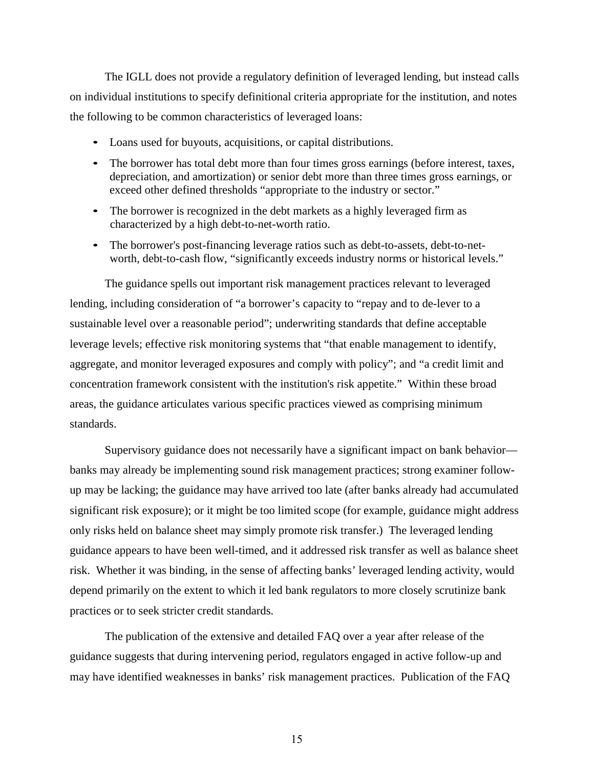The IGLL does not provide a regulatory definition of leveraged lending, but instead calls on individual institutions to specify definitional criteria appropriate for the institution, and notes the following to be common characteristics of leveraged loans:

- Loans used for buyouts, acquisitions, or capital distributions.
- The borrower has total debt more than four times gross earnings (before interest, taxes, depreciation, and amortization) or senior debt more than three times gross earnings, or exceed other defined thresholds "appropriate to the industry or sector."
- The borrower is recognized in the debt markets as a highly leveraged firm as characterized by a high debt-to-net-worth ratio.
- The borrower's post-financing leverage ratios such as debt-to-assets, debt-to-networth, debt-to-cash flow, "significantly exceeds industry norms or historical levels."

The guidance spells out important risk management practices relevant to leveraged lending, including consideration of "a borrower's capacity to "repay and to de-lever to a sustainable level over a reasonable period"; underwriting standards that define acceptable leverage levels; effective risk monitoring systems that "that enable management to identify, aggregate, and monitor leveraged exposures and comply with policy"; and "a credit limit and concentration framework consistent with the institution's risk appetite." Within these broad areas, the guidance articulates various specific practices viewed as comprising minimum standards.

Supervisory guidance does not necessarily have a significant impact on bank behavior banks may already be implementing sound risk management practices; strong examiner followup may be lacking; the guidance may have arrived too late (after banks already had accumulated significant risk exposure); or it might be too limited scope (for example, guidance might address only risks held on balance sheet may simply promote risk transfer.) The leveraged lending guidance appears to have been well-timed, and it addressed risk transfer as well as balance sheet risk. Whether it was binding, in the sense of affecting banks' leveraged lending activity, would depend primarily on the extent to which it led bank regulators to more closely scrutinize bank practices or to seek stricter credit standards.

The publication of the extensive and detailed FAQ over a year after release of the guidance suggests that during intervening period, regulators engaged in active follow-up and may have identified weaknesses in banks' risk management practices. Publication of the FAQ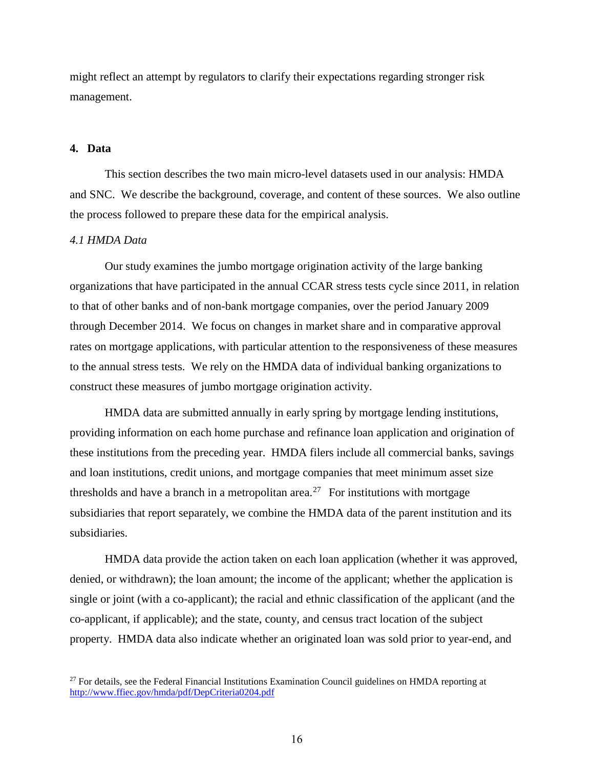might reflect an attempt by regulators to clarify their expectations regarding stronger risk management.

# **4. Data**

This section describes the two main micro-level datasets used in our analysis: HMDA and SNC. We describe the background, coverage, and content of these sources. We also outline the process followed to prepare these data for the empirical analysis.

#### *4.1 HMDA Data*

Our study examines the jumbo mortgage origination activity of the large banking organizations that have participated in the annual CCAR stress tests cycle since 2011, in relation to that of other banks and of non-bank mortgage companies, over the period January 2009 through December 2014. We focus on changes in market share and in comparative approval rates on mortgage applications, with particular attention to the responsiveness of these measures to the annual stress tests. We rely on the HMDA data of individual banking organizations to construct these measures of jumbo mortgage origination activity.

HMDA data are submitted annually in early spring by mortgage lending institutions, providing information on each home purchase and refinance loan application and origination of these institutions from the preceding year. HMDA filers include all commercial banks, savings and loan institutions, credit unions, and mortgage companies that meet minimum asset size thresholds and have a branch in a metropolitan area.<sup>[27](#page-16-0)</sup> For institutions with mortgage subsidiaries that report separately, we combine the HMDA data of the parent institution and its subsidiaries.

HMDA data provide the action taken on each loan application (whether it was approved, denied, or withdrawn); the loan amount; the income of the applicant; whether the application is single or joint (with a co-applicant); the racial and ethnic classification of the applicant (and the co-applicant, if applicable); and the state, county, and census tract location of the subject property. HMDA data also indicate whether an originated loan was sold prior to year-end, and

<span id="page-16-0"></span> $27$  For details, see the Federal Financial Institutions Examination Council guidelines on HMDA reporting at <http://www.ffiec.gov/hmda/pdf/DepCriteria0204.pdf>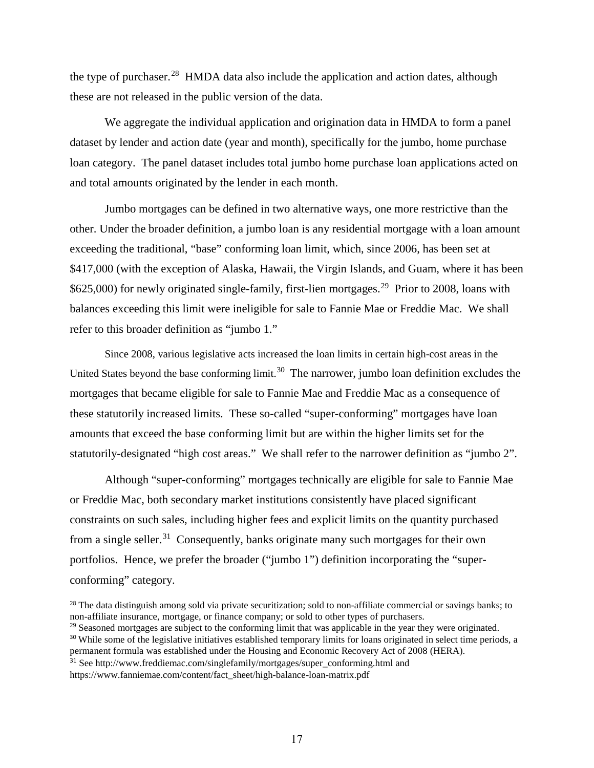the type of purchaser.<sup>28</sup> HMDA data also include the application and action dates, although these are not released in the public version of the data.

We aggregate the individual application and origination data in HMDA to form a panel dataset by lender and action date (year and month), specifically for the jumbo, home purchase loan category. The panel dataset includes total jumbo home purchase loan applications acted on and total amounts originated by the lender in each month.

Jumbo mortgages can be defined in two alternative ways, one more restrictive than the other. Under the broader definition, a jumbo loan is any residential mortgage with a loan amount exceeding the traditional, "base" conforming loan limit, which, since 2006, has been set at \$417,000 (with the exception of Alaska, Hawaii, the Virgin Islands, and Guam, where it has been \$625,000) for newly originated single-family, first-lien mortgages.<sup>29</sup> Prior to 2008, loans with balances exceeding this limit were ineligible for sale to Fannie Mae or Freddie Mac. We shall refer to this broader definition as "jumbo 1."

Since 2008, various legislative acts increased the loan limits in certain high-cost areas in the United States beyond the base conforming limit.<sup>30</sup> The narrower, jumbo loan definition excludes the mortgages that became eligible for sale to Fannie Mae and Freddie Mac as a consequence of these statutorily increased limits. These so-called "super-conforming" mortgages have loan amounts that exceed the base conforming limit but are within the higher limits set for the statutorily-designated "high cost areas." We shall refer to the narrower definition as "jumbo 2".

Although "super-conforming" mortgages technically are eligible for sale to Fannie Mae or Freddie Mac, both secondary market institutions consistently have placed significant constraints on such sales, including higher fees and explicit limits on the quantity purchased from a single seller.<sup>[31](#page-17-3)</sup> Consequently, banks originate many such mortgages for their own portfolios. Hence, we prefer the broader ("jumbo 1") definition incorporating the "superconforming" category.

- <span id="page-17-2"></span><span id="page-17-1"></span><sup>29</sup> Seasoned mortgages are subject to the conforming limit that was applicable in the year they were originated. <sup>30</sup> While some of the legislative initiatives established temporary limits for loans originated in select time periods, a permanent formula was established under the Housing and Economic Recovery Act of 2008 (HERA).
- <span id="page-17-3"></span><sup>31</sup> See [http://www.freddiemac.com/singlefamily/mortgages/super\\_conforming.html](http://www.freddiemac.com/singlefamily/mortgages/super_conforming.html) and

[https://www.fanniemae.com/content/fact\\_sheet/high-balance-loan-matrix.pdf](https://www.fanniemae.com/content/fact_sheet/high-balance-loan-matrix.pdf)

<span id="page-17-0"></span> $28$  The data distinguish among sold via private securitization; sold to non-affiliate commercial or savings banks; to non-affiliate insurance, mortgage, or finance company; or sold to other types of purchasers.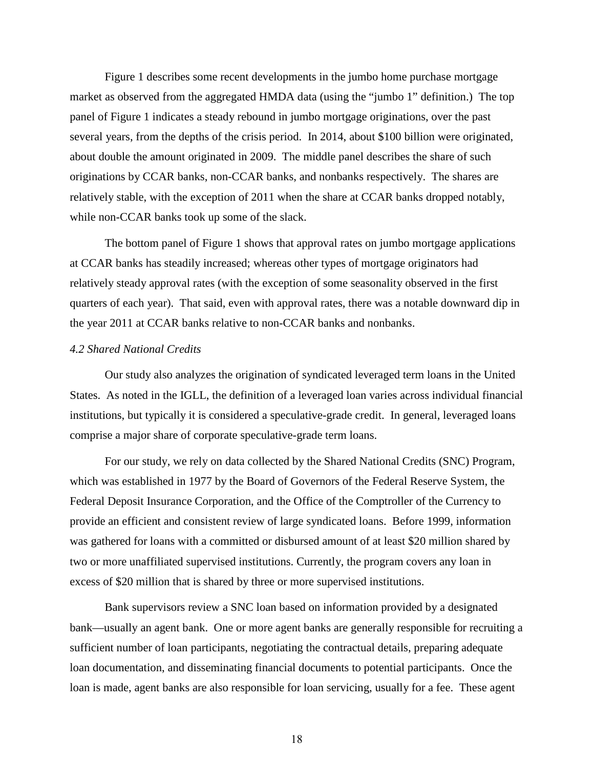Figure 1 describes some recent developments in the jumbo home purchase mortgage market as observed from the aggregated HMDA data (using the "jumbo 1" definition.) The top panel of Figure 1 indicates a steady rebound in jumbo mortgage originations, over the past several years, from the depths of the crisis period. In 2014, about \$100 billion were originated, about double the amount originated in 2009. The middle panel describes the share of such originations by CCAR banks, non-CCAR banks, and nonbanks respectively. The shares are relatively stable, with the exception of 2011 when the share at CCAR banks dropped notably, while non-CCAR banks took up some of the slack.

The bottom panel of Figure 1 shows that approval rates on jumbo mortgage applications at CCAR banks has steadily increased; whereas other types of mortgage originators had relatively steady approval rates (with the exception of some seasonality observed in the first quarters of each year). That said, even with approval rates, there was a notable downward dip in the year 2011 at CCAR banks relative to non-CCAR banks and nonbanks.

# *4.2 Shared National Credits*

Our study also analyzes the origination of syndicated leveraged term loans in the United States. As noted in the IGLL, the definition of a leveraged loan varies across individual financial institutions, but typically it is considered a speculative-grade credit. In general, leveraged loans comprise a major share of corporate speculative-grade term loans.

For our study, we rely on data collected by the Shared National Credits (SNC) Program, which was established in 1977 by the Board of Governors of the Federal Reserve System, the Federal Deposit Insurance Corporation, and the Office of the Comptroller of the Currency to provide an efficient and consistent review of large syndicated loans. Before 1999, information was gathered for loans with a committed or disbursed amount of at least \$20 million shared by two or more unaffiliated supervised institutions. Currently, the program covers any loan in excess of \$20 million that is shared by three or more supervised institutions.

Bank supervisors review a SNC loan based on information provided by a designated bank—usually an agent bank. One or more agent banks are generally responsible for recruiting a sufficient number of loan participants, negotiating the contractual details, preparing adequate loan documentation, and disseminating financial documents to potential participants. Once the loan is made, agent banks are also responsible for loan servicing, usually for a fee. These agent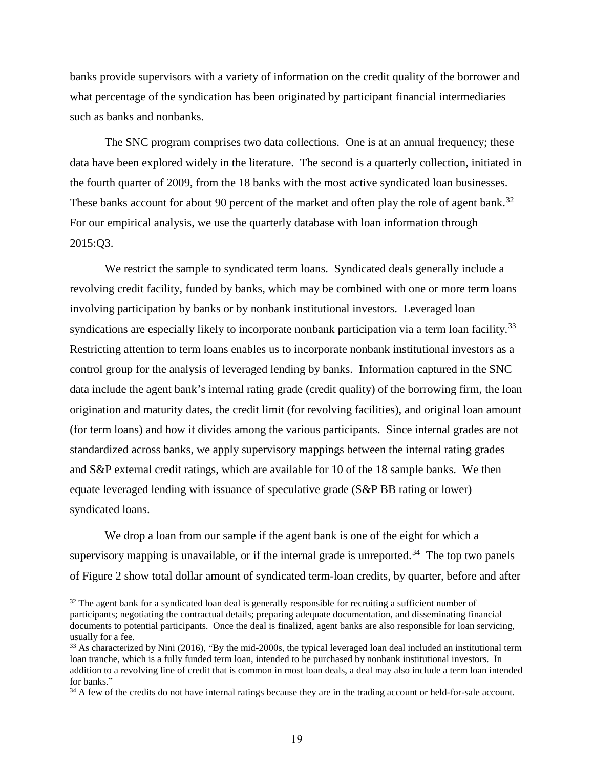banks provide supervisors with a variety of information on the credit quality of the borrower and what percentage of the syndication has been originated by participant financial intermediaries such as banks and nonbanks.

The SNC program comprises two data collections. One is at an annual frequency; these data have been explored widely in the literature. The second is a quarterly collection, initiated in the fourth quarter of 2009, from the 18 banks with the most active syndicated loan businesses. These banks account for about 90 percent of the market and often play the role of agent bank.<sup>32</sup> For our empirical analysis, we use the quarterly database with loan information through 2015:Q3.

We restrict the sample to syndicated term loans. Syndicated deals generally include a revolving credit facility, funded by banks, which may be combined with one or more term loans involving participation by banks or by nonbank institutional investors. Leveraged loan syndications are especially likely to incorporate nonbank participation via a term loan facility.<sup>[33](#page-19-1)</sup> Restricting attention to term loans enables us to incorporate nonbank institutional investors as a control group for the analysis of leveraged lending by banks. Information captured in the SNC data include the agent bank's internal rating grade (credit quality) of the borrowing firm, the loan origination and maturity dates, the credit limit (for revolving facilities), and original loan amount (for term loans) and how it divides among the various participants. Since internal grades are not standardized across banks, we apply supervisory mappings between the internal rating grades and S&P external credit ratings, which are available for 10 of the 18 sample banks. We then equate leveraged lending with issuance of speculative grade (S&P BB rating or lower) syndicated loans.

We drop a loan from our sample if the agent bank is one of the eight for which a supervisory mapping is unavailable, or if the internal grade is unreported.<sup>[34](#page-19-2)</sup> The top two panels of Figure 2 show total dollar amount of syndicated term-loan credits, by quarter, before and after

<span id="page-19-0"></span><sup>&</sup>lt;sup>32</sup> The agent bank for a syndicated loan deal is generally responsible for recruiting a sufficient number of participants; negotiating the contractual details; preparing adequate documentation, and disseminating financial documents to potential participants. Once the deal is finalized, agent banks are also responsible for loan servicing, usually for a fee.<br> $33$  As characterized by Nini (2016), "By the mid-2000s, the typical leveraged loan deal included an institutional term

<span id="page-19-1"></span>loan tranche, which is a fully funded term loan, intended to be purchased by nonbank institutional investors. In addition to a revolving line of credit that is common in most loan deals, a deal may also include a term loan intended for banks."

<span id="page-19-2"></span><sup>&</sup>lt;sup>34</sup> A few of the credits do not have internal ratings because they are in the trading account or held-for-sale account.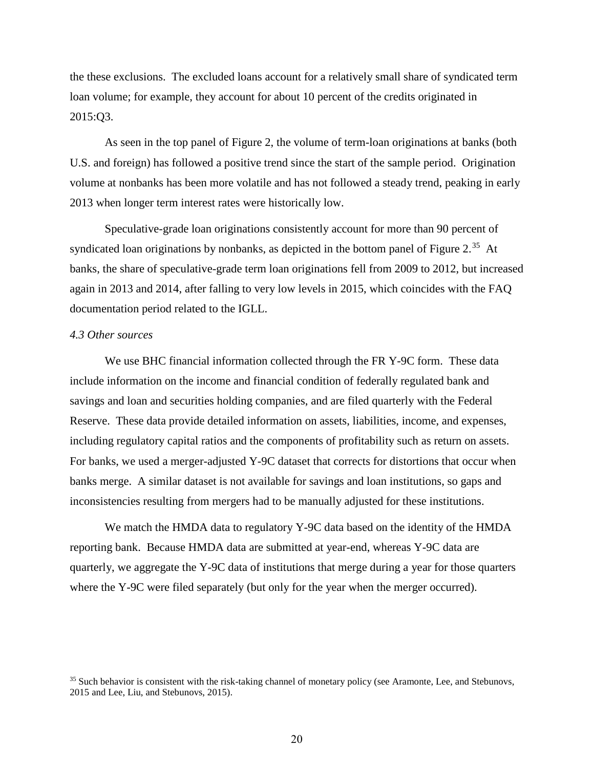the these exclusions. The excluded loans account for a relatively small share of syndicated term loan volume; for example, they account for about 10 percent of the credits originated in 2015:Q3.

As seen in the top panel of Figure 2, the volume of term-loan originations at banks (both U.S. and foreign) has followed a positive trend since the start of the sample period. Origination volume at nonbanks has been more volatile and has not followed a steady trend, peaking in early 2013 when longer term interest rates were historically low.

Speculative-grade loan originations consistently account for more than 90 percent of syndicated loan originations by nonbanks, as depicted in the bottom panel of Figure 2.<sup>[35](#page-20-0)</sup> At banks, the share of speculative-grade term loan originations fell from 2009 to 2012, but increased again in 2013 and 2014, after falling to very low levels in 2015, which coincides with the FAQ documentation period related to the IGLL.

# *4.3 Other sources*

We use BHC financial information collected through the FR Y-9C form. These data include information on the income and financial condition of federally regulated bank and savings and loan and securities holding companies, and are filed quarterly with the Federal Reserve. These data provide detailed information on assets, liabilities, income, and expenses, including regulatory capital ratios and the components of profitability such as return on assets. For banks, we used a merger-adjusted Y-9C dataset that corrects for distortions that occur when banks merge. A similar dataset is not available for savings and loan institutions, so gaps and inconsistencies resulting from mergers had to be manually adjusted for these institutions.

We match the HMDA data to regulatory Y-9C data based on the identity of the HMDA reporting bank. Because HMDA data are submitted at year-end, whereas Y-9C data are quarterly, we aggregate the Y-9C data of institutions that merge during a year for those quarters where the Y-9C were filed separately (but only for the year when the merger occurred).

<span id="page-20-0"></span><sup>&</sup>lt;sup>35</sup> Such behavior is consistent with the risk-taking channel of monetary policy (see Aramonte, Lee, and Stebunovs, 2015 and Lee, Liu, and Stebunovs, 2015).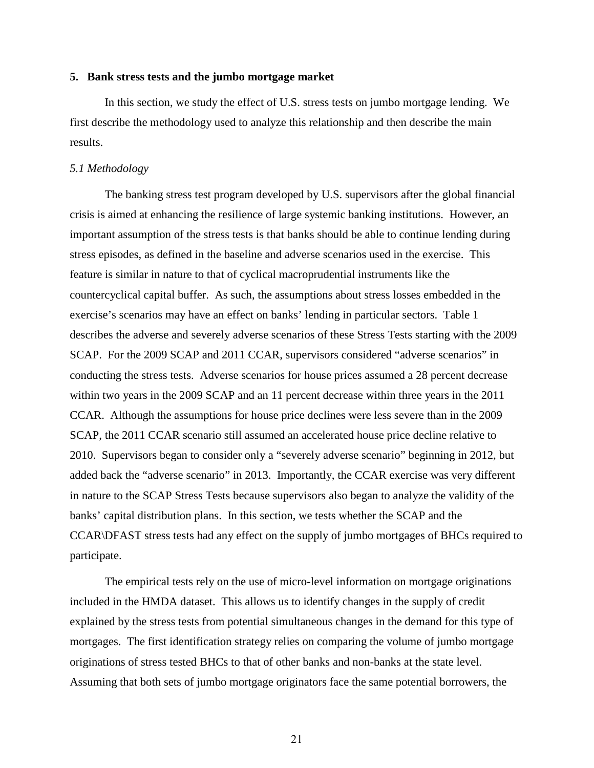#### **5. Bank stress tests and the jumbo mortgage market**

In this section, we study the effect of U.S. stress tests on jumbo mortgage lending. We first describe the methodology used to analyze this relationship and then describe the main results.

#### *5.1 Methodology*

The banking stress test program developed by U.S. supervisors after the global financial crisis is aimed at enhancing the resilience of large systemic banking institutions. However, an important assumption of the stress tests is that banks should be able to continue lending during stress episodes, as defined in the baseline and adverse scenarios used in the exercise. This feature is similar in nature to that of cyclical macroprudential instruments like the countercyclical capital buffer. As such, the assumptions about stress losses embedded in the exercise's scenarios may have an effect on banks' lending in particular sectors. Table 1 describes the adverse and severely adverse scenarios of these Stress Tests starting with the 2009 SCAP. For the 2009 SCAP and 2011 CCAR, supervisors considered "adverse scenarios" in conducting the stress tests. Adverse scenarios for house prices assumed a 28 percent decrease within two years in the 2009 SCAP and an 11 percent decrease within three years in the 2011 CCAR. Although the assumptions for house price declines were less severe than in the 2009 SCAP, the 2011 CCAR scenario still assumed an accelerated house price decline relative to 2010. Supervisors began to consider only a "severely adverse scenario" beginning in 2012, but added back the "adverse scenario" in 2013. Importantly, the CCAR exercise was very different in nature to the SCAP Stress Tests because supervisors also began to analyze the validity of the banks' capital distribution plans. In this section, we tests whether the SCAP and the CCAR\DFAST stress tests had any effect on the supply of jumbo mortgages of BHCs required to participate.

The empirical tests rely on the use of micro-level information on mortgage originations included in the HMDA dataset. This allows us to identify changes in the supply of credit explained by the stress tests from potential simultaneous changes in the demand for this type of mortgages. The first identification strategy relies on comparing the volume of jumbo mortgage originations of stress tested BHCs to that of other banks and non-banks at the state level. Assuming that both sets of jumbo mortgage originators face the same potential borrowers, the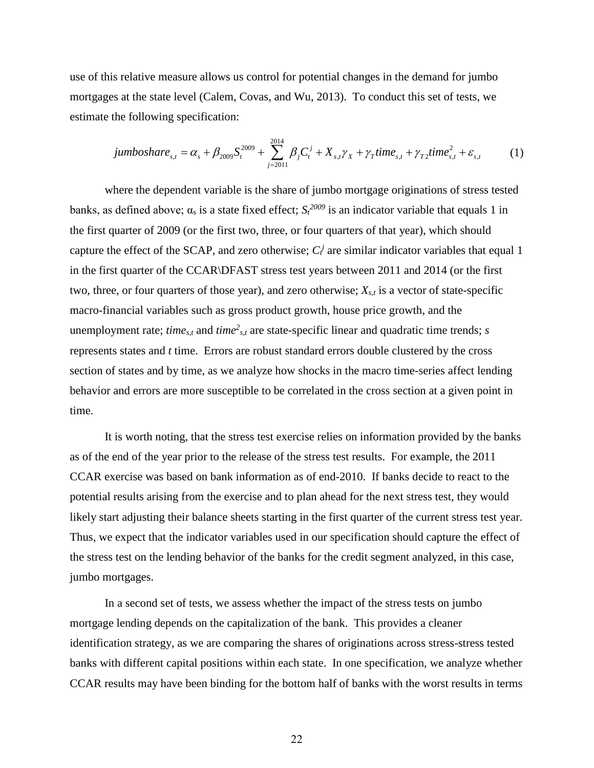use of this relative measure allows us control for potential changes in the demand for jumbo mortgages at the state level (Calem, Covas, and Wu, 2013). To conduct this set of tests, we estimate the following specification:

$$
jumbosh are_{s,t} = \alpha_s + \beta_{2009} S_t^{2009} + \sum_{j=2011}^{2014} \beta_j C_t^j + X_{s,t} \gamma_X + \gamma_T time_{s,t} + \gamma_{T2} time_{s,t}^2 + \varepsilon_{s,t}
$$
 (1)

where the dependent variable is the share of jumbo mortgage originations of stress tested banks, as defined above;  $\alpha_s$  is a state fixed effect;  $S_t^{2009}$  is an indicator variable that equals 1 in the first quarter of 2009 (or the first two, three, or four quarters of that year), which should capture the effect of the SCAP, and zero otherwise;  $C_t$  are similar indicator variables that equal 1 in the first quarter of the CCAR\DFAST stress test years between 2011 and 2014 (or the first two, three, or four quarters of those year), and zero otherwise;  $X_{s,t}$  is a vector of state-specific macro-financial variables such as gross product growth, house price growth, and the unemployment rate; *time<sub>s,t</sub>* and *time*<sup>2</sup><sub>s,t</sub> are state-specific linear and quadratic time trends; *s* represents states and *t* time. Errors are robust standard errors double clustered by the cross section of states and by time, as we analyze how shocks in the macro time-series affect lending behavior and errors are more susceptible to be correlated in the cross section at a given point in time.

It is worth noting, that the stress test exercise relies on information provided by the banks as of the end of the year prior to the release of the stress test results. For example, the 2011 CCAR exercise was based on bank information as of end-2010. If banks decide to react to the potential results arising from the exercise and to plan ahead for the next stress test, they would likely start adjusting their balance sheets starting in the first quarter of the current stress test year. Thus, we expect that the indicator variables used in our specification should capture the effect of the stress test on the lending behavior of the banks for the credit segment analyzed, in this case, jumbo mortgages.

In a second set of tests, we assess whether the impact of the stress tests on jumbo mortgage lending depends on the capitalization of the bank. This provides a cleaner identification strategy, as we are comparing the shares of originations across stress-stress tested banks with different capital positions within each state. In one specification, we analyze whether CCAR results may have been binding for the bottom half of banks with the worst results in terms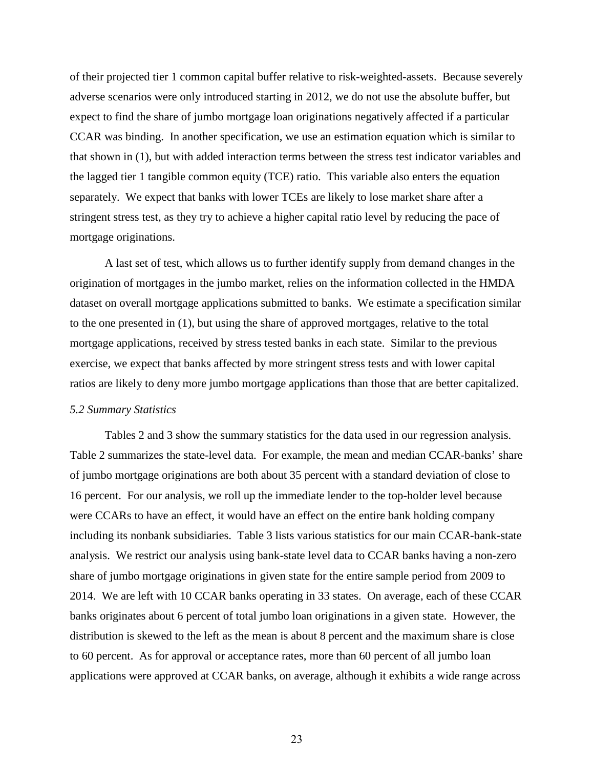of their projected tier 1 common capital buffer relative to risk-weighted-assets. Because severely adverse scenarios were only introduced starting in 2012, we do not use the absolute buffer, but expect to find the share of jumbo mortgage loan originations negatively affected if a particular CCAR was binding. In another specification, we use an estimation equation which is similar to that shown in (1), but with added interaction terms between the stress test indicator variables and the lagged tier 1 tangible common equity (TCE) ratio. This variable also enters the equation separately. We expect that banks with lower TCEs are likely to lose market share after a stringent stress test, as they try to achieve a higher capital ratio level by reducing the pace of mortgage originations.

A last set of test, which allows us to further identify supply from demand changes in the origination of mortgages in the jumbo market, relies on the information collected in the HMDA dataset on overall mortgage applications submitted to banks. We estimate a specification similar to the one presented in (1), but using the share of approved mortgages, relative to the total mortgage applications, received by stress tested banks in each state. Similar to the previous exercise, we expect that banks affected by more stringent stress tests and with lower capital ratios are likely to deny more jumbo mortgage applications than those that are better capitalized.

#### *5.2 Summary Statistics*

Tables 2 and 3 show the summary statistics for the data used in our regression analysis. Table 2 summarizes the state-level data. For example, the mean and median CCAR-banks' share of jumbo mortgage originations are both about 35 percent with a standard deviation of close to 16 percent. For our analysis, we roll up the immediate lender to the top-holder level because were CCARs to have an effect, it would have an effect on the entire bank holding company including its nonbank subsidiaries. Table 3 lists various statistics for our main CCAR-bank-state analysis. We restrict our analysis using bank-state level data to CCAR banks having a non-zero share of jumbo mortgage originations in given state for the entire sample period from 2009 to 2014. We are left with 10 CCAR banks operating in 33 states. On average, each of these CCAR banks originates about 6 percent of total jumbo loan originations in a given state. However, the distribution is skewed to the left as the mean is about 8 percent and the maximum share is close to 60 percent. As for approval or acceptance rates, more than 60 percent of all jumbo loan applications were approved at CCAR banks, on average, although it exhibits a wide range across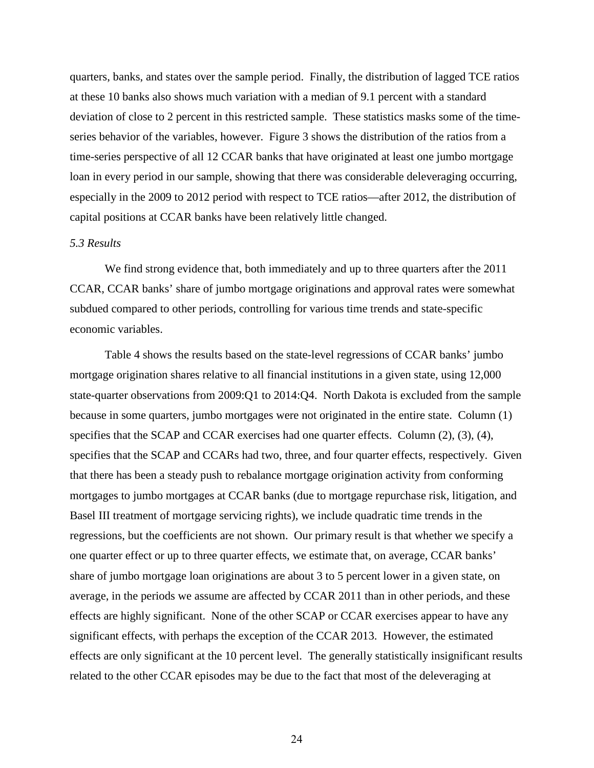quarters, banks, and states over the sample period. Finally, the distribution of lagged TCE ratios at these 10 banks also shows much variation with a median of 9.1 percent with a standard deviation of close to 2 percent in this restricted sample. These statistics masks some of the timeseries behavior of the variables, however. Figure 3 shows the distribution of the ratios from a time-series perspective of all 12 CCAR banks that have originated at least one jumbo mortgage loan in every period in our sample, showing that there was considerable deleveraging occurring, especially in the 2009 to 2012 period with respect to TCE ratios—after 2012, the distribution of capital positions at CCAR banks have been relatively little changed.

# *5.3 Results*

We find strong evidence that, both immediately and up to three quarters after the 2011 CCAR, CCAR banks' share of jumbo mortgage originations and approval rates were somewhat subdued compared to other periods, controlling for various time trends and state-specific economic variables.

Table 4 shows the results based on the state-level regressions of CCAR banks' jumbo mortgage origination shares relative to all financial institutions in a given state, using 12,000 state-quarter observations from 2009:Q1 to 2014:Q4. North Dakota is excluded from the sample because in some quarters, jumbo mortgages were not originated in the entire state. Column (1) specifies that the SCAP and CCAR exercises had one quarter effects. Column (2), (3), (4), specifies that the SCAP and CCARs had two, three, and four quarter effects, respectively. Given that there has been a steady push to rebalance mortgage origination activity from conforming mortgages to jumbo mortgages at CCAR banks (due to mortgage repurchase risk, litigation, and Basel III treatment of mortgage servicing rights), we include quadratic time trends in the regressions, but the coefficients are not shown. Our primary result is that whether we specify a one quarter effect or up to three quarter effects, we estimate that, on average, CCAR banks' share of jumbo mortgage loan originations are about 3 to 5 percent lower in a given state, on average, in the periods we assume are affected by CCAR 2011 than in other periods, and these effects are highly significant. None of the other SCAP or CCAR exercises appear to have any significant effects, with perhaps the exception of the CCAR 2013. However, the estimated effects are only significant at the 10 percent level. The generally statistically insignificant results related to the other CCAR episodes may be due to the fact that most of the deleveraging at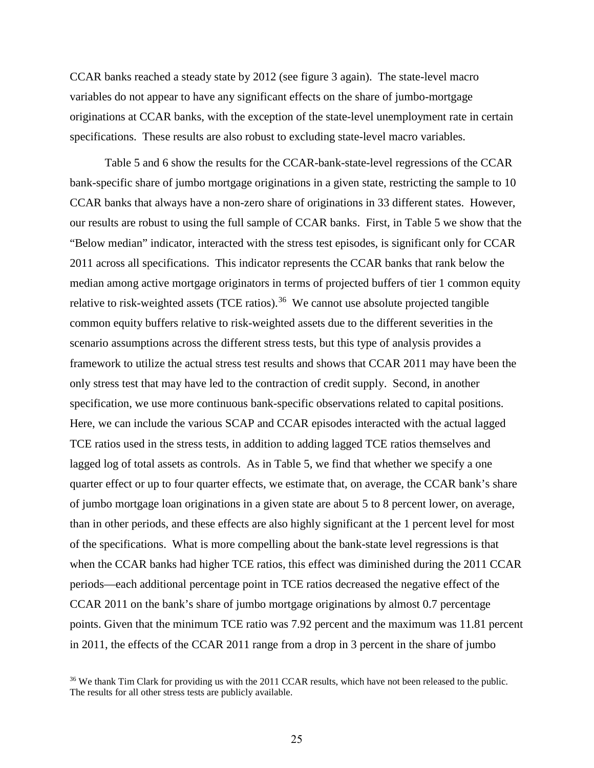CCAR banks reached a steady state by 2012 (see figure 3 again). The state-level macro variables do not appear to have any significant effects on the share of jumbo-mortgage originations at CCAR banks, with the exception of the state-level unemployment rate in certain specifications. These results are also robust to excluding state-level macro variables.

Table 5 and 6 show the results for the CCAR-bank-state-level regressions of the CCAR bank-specific share of jumbo mortgage originations in a given state, restricting the sample to 10 CCAR banks that always have a non-zero share of originations in 33 different states. However, our results are robust to using the full sample of CCAR banks. First, in Table 5 we show that the "Below median" indicator, interacted with the stress test episodes, is significant only for CCAR 2011 across all specifications. This indicator represents the CCAR banks that rank below the median among active mortgage originators in terms of projected buffers of tier 1 common equity relative to risk-weighted assets (TCE ratios).<sup>[36](#page-25-0)</sup> We cannot use absolute projected tangible common equity buffers relative to risk-weighted assets due to the different severities in the scenario assumptions across the different stress tests, but this type of analysis provides a framework to utilize the actual stress test results and shows that CCAR 2011 may have been the only stress test that may have led to the contraction of credit supply. Second, in another specification, we use more continuous bank-specific observations related to capital positions. Here, we can include the various SCAP and CCAR episodes interacted with the actual lagged TCE ratios used in the stress tests, in addition to adding lagged TCE ratios themselves and lagged log of total assets as controls. As in Table 5, we find that whether we specify a one quarter effect or up to four quarter effects, we estimate that, on average, the CCAR bank's share of jumbo mortgage loan originations in a given state are about 5 to 8 percent lower, on average, than in other periods, and these effects are also highly significant at the 1 percent level for most of the specifications. What is more compelling about the bank-state level regressions is that when the CCAR banks had higher TCE ratios, this effect was diminished during the 2011 CCAR periods—each additional percentage point in TCE ratios decreased the negative effect of the CCAR 2011 on the bank's share of jumbo mortgage originations by almost 0.7 percentage points. Given that the minimum TCE ratio was 7.92 percent and the maximum was 11.81 percent in 2011, the effects of the CCAR 2011 range from a drop in 3 percent in the share of jumbo

<span id="page-25-0"></span><sup>&</sup>lt;sup>36</sup> We thank Tim Clark for providing us with the 2011 CCAR results, which have not been released to the public. The results for all other stress tests are publicly available.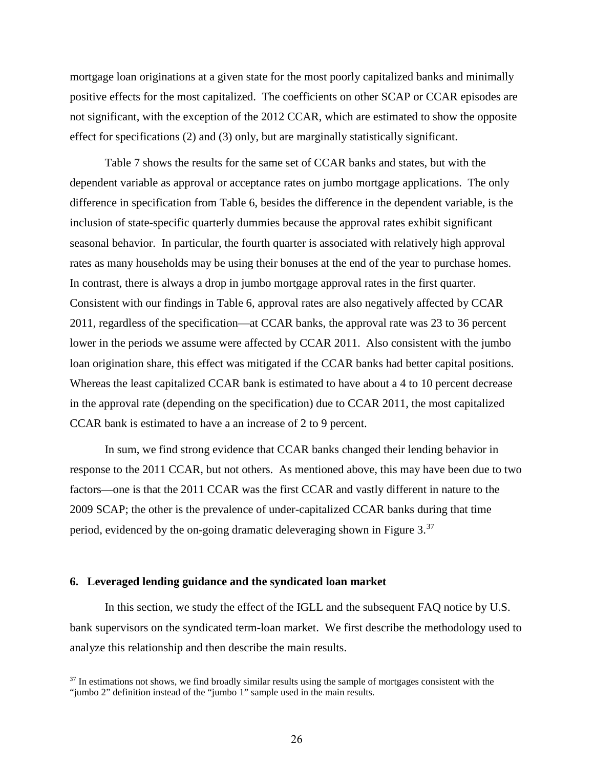mortgage loan originations at a given state for the most poorly capitalized banks and minimally positive effects for the most capitalized. The coefficients on other SCAP or CCAR episodes are not significant, with the exception of the 2012 CCAR, which are estimated to show the opposite effect for specifications (2) and (3) only, but are marginally statistically significant.

Table 7 shows the results for the same set of CCAR banks and states, but with the dependent variable as approval or acceptance rates on jumbo mortgage applications. The only difference in specification from Table 6, besides the difference in the dependent variable, is the inclusion of state-specific quarterly dummies because the approval rates exhibit significant seasonal behavior. In particular, the fourth quarter is associated with relatively high approval rates as many households may be using their bonuses at the end of the year to purchase homes. In contrast, there is always a drop in jumbo mortgage approval rates in the first quarter. Consistent with our findings in Table 6, approval rates are also negatively affected by CCAR 2011, regardless of the specification—at CCAR banks, the approval rate was 23 to 36 percent lower in the periods we assume were affected by CCAR 2011. Also consistent with the jumbo loan origination share, this effect was mitigated if the CCAR banks had better capital positions. Whereas the least capitalized CCAR bank is estimated to have about a 4 to 10 percent decrease in the approval rate (depending on the specification) due to CCAR 2011, the most capitalized CCAR bank is estimated to have a an increase of 2 to 9 percent.

In sum, we find strong evidence that CCAR banks changed their lending behavior in response to the 2011 CCAR, but not others. As mentioned above, this may have been due to two factors—one is that the 2011 CCAR was the first CCAR and vastly different in nature to the 2009 SCAP; the other is the prevalence of under-capitalized CCAR banks during that time period, evidenced by the on-going dramatic deleveraging shown in Figure  $3^{37}$ 

# **6. Leveraged lending guidance and the syndicated loan market**

In this section, we study the effect of the IGLL and the subsequent FAQ notice by U.S. bank supervisors on the syndicated term-loan market. We first describe the methodology used to analyze this relationship and then describe the main results.

<span id="page-26-0"></span> $37$  In estimations not shows, we find broadly similar results using the sample of mortgages consistent with the "jumbo 2" definition instead of the "jumbo 1" sample used in the main results.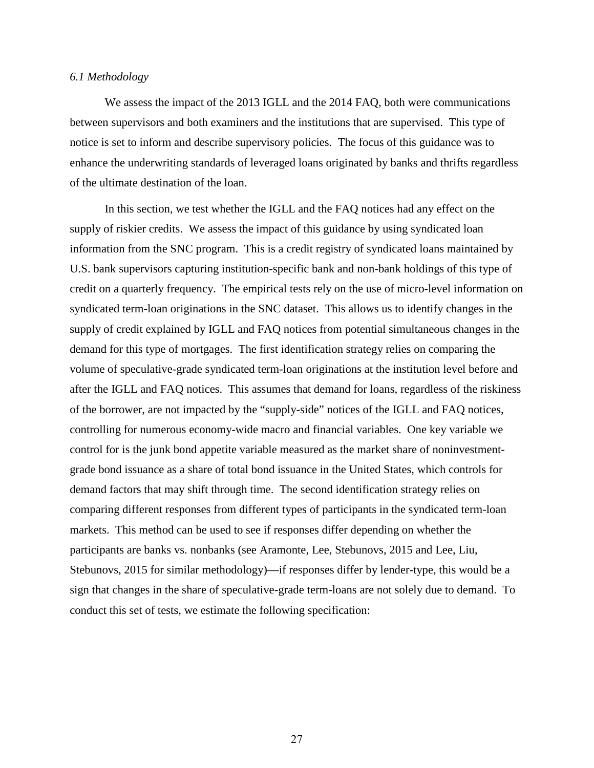#### *6.1 Methodology*

We assess the impact of the 2013 IGLL and the 2014 FAQ, both were communications between supervisors and both examiners and the institutions that are supervised. This type of notice is set to inform and describe supervisory policies. The focus of this guidance was to enhance the underwriting standards of leveraged loans originated by banks and thrifts regardless of the ultimate destination of the loan.

In this section, we test whether the IGLL and the FAQ notices had any effect on the supply of riskier credits. We assess the impact of this guidance by using syndicated loan information from the SNC program. This is a credit registry of syndicated loans maintained by U.S. bank supervisors capturing institution-specific bank and non-bank holdings of this type of credit on a quarterly frequency. The empirical tests rely on the use of micro-level information on syndicated term-loan originations in the SNC dataset. This allows us to identify changes in the supply of credit explained by IGLL and FAQ notices from potential simultaneous changes in the demand for this type of mortgages. The first identification strategy relies on comparing the volume of speculative-grade syndicated term-loan originations at the institution level before and after the IGLL and FAQ notices. This assumes that demand for loans, regardless of the riskiness of the borrower, are not impacted by the "supply-side" notices of the IGLL and FAQ notices, controlling for numerous economy-wide macro and financial variables. One key variable we control for is the junk bond appetite variable measured as the market share of noninvestmentgrade bond issuance as a share of total bond issuance in the United States, which controls for demand factors that may shift through time. The second identification strategy relies on comparing different responses from different types of participants in the syndicated term-loan markets. This method can be used to see if responses differ depending on whether the participants are banks vs. nonbanks (see Aramonte, Lee, Stebunovs, 2015 and Lee, Liu, Stebunovs, 2015 for similar methodology)—if responses differ by lender-type, this would be a sign that changes in the share of speculative-grade term-loans are not solely due to demand. To conduct this set of tests, we estimate the following specification: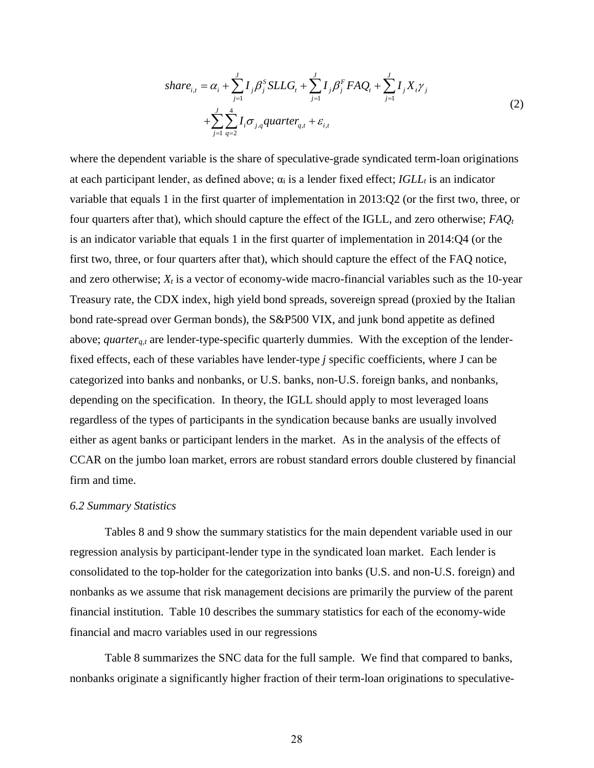$$
share_{i,t} = \alpha_i + \sum_{j=1}^{J} I_j \beta_j^S SLLG_t + \sum_{j=1}^{J} I_j \beta_j^F FAQ_t + \sum_{j=1}^{J} I_j X_i \gamma_j
$$
  
+ 
$$
\sum_{j=1}^{J} \sum_{q=2}^{4} I_i \sigma_{j,q} quarter_{q,t} + \varepsilon_{i,t}
$$
 (2)

where the dependent variable is the share of speculative-grade syndicated term-loan originations at each participant lender, as defined above;  $\alpha_i$  is a lender fixed effect; *IGLL<sub>t</sub>* is an indicator variable that equals 1 in the first quarter of implementation in 2013:Q2 (or the first two, three, or four quarters after that), which should capture the effect of the IGLL, and zero otherwise; *FAQt* is an indicator variable that equals 1 in the first quarter of implementation in 2014:Q4 (or the first two, three, or four quarters after that), which should capture the effect of the FAQ notice, and zero otherwise;  $X_t$  is a vector of economy-wide macro-financial variables such as the 10-year Treasury rate, the CDX index, high yield bond spreads, sovereign spread (proxied by the Italian bond rate-spread over German bonds), the S&P500 VIX, and junk bond appetite as defined above; *quarter<sub>a,t</sub>* are lender-type-specific quarterly dummies. With the exception of the lenderfixed effects, each of these variables have lender-type *j* specific coefficients, where J can be categorized into banks and nonbanks, or U.S. banks, non-U.S. foreign banks, and nonbanks, depending on the specification. In theory, the IGLL should apply to most leveraged loans regardless of the types of participants in the syndication because banks are usually involved either as agent banks or participant lenders in the market. As in the analysis of the effects of CCAR on the jumbo loan market, errors are robust standard errors double clustered by financial firm and time.

#### *6.2 Summary Statistics*

Tables 8 and 9 show the summary statistics for the main dependent variable used in our regression analysis by participant-lender type in the syndicated loan market. Each lender is consolidated to the top-holder for the categorization into banks (U.S. and non-U.S. foreign) and nonbanks as we assume that risk management decisions are primarily the purview of the parent financial institution. Table 10 describes the summary statistics for each of the economy-wide financial and macro variables used in our regressions

Table 8 summarizes the SNC data for the full sample. We find that compared to banks, nonbanks originate a significantly higher fraction of their term-loan originations to speculative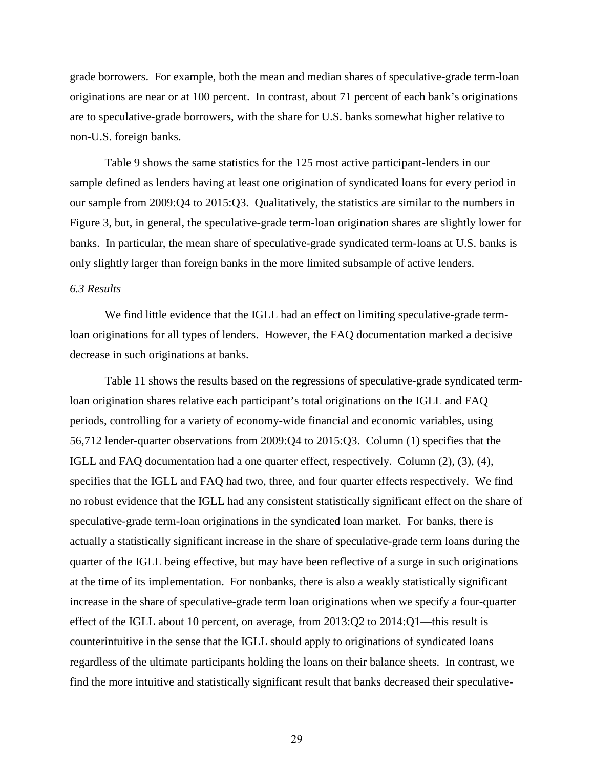grade borrowers. For example, both the mean and median shares of speculative-grade term-loan originations are near or at 100 percent. In contrast, about 71 percent of each bank's originations are to speculative-grade borrowers, with the share for U.S. banks somewhat higher relative to non-U.S. foreign banks.

Table 9 shows the same statistics for the 125 most active participant-lenders in our sample defined as lenders having at least one origination of syndicated loans for every period in our sample from 2009:Q4 to 2015:Q3. Qualitatively, the statistics are similar to the numbers in Figure 3, but, in general, the speculative-grade term-loan origination shares are slightly lower for banks. In particular, the mean share of speculative-grade syndicated term-loans at U.S. banks is only slightly larger than foreign banks in the more limited subsample of active lenders.

## *6.3 Results*

We find little evidence that the IGLL had an effect on limiting speculative-grade termloan originations for all types of lenders. However, the FAQ documentation marked a decisive decrease in such originations at banks.

Table 11 shows the results based on the regressions of speculative-grade syndicated termloan origination shares relative each participant's total originations on the IGLL and FAQ periods, controlling for a variety of economy-wide financial and economic variables, using 56,712 lender-quarter observations from 2009:Q4 to 2015:Q3. Column (1) specifies that the IGLL and FAQ documentation had a one quarter effect, respectively. Column (2), (3), (4), specifies that the IGLL and FAQ had two, three, and four quarter effects respectively. We find no robust evidence that the IGLL had any consistent statistically significant effect on the share of speculative-grade term-loan originations in the syndicated loan market. For banks, there is actually a statistically significant increase in the share of speculative-grade term loans during the quarter of the IGLL being effective, but may have been reflective of a surge in such originations at the time of its implementation. For nonbanks, there is also a weakly statistically significant increase in the share of speculative-grade term loan originations when we specify a four-quarter effect of the IGLL about 10 percent, on average, from 2013:Q2 to 2014:Q1—this result is counterintuitive in the sense that the IGLL should apply to originations of syndicated loans regardless of the ultimate participants holding the loans on their balance sheets. In contrast, we find the more intuitive and statistically significant result that banks decreased their speculative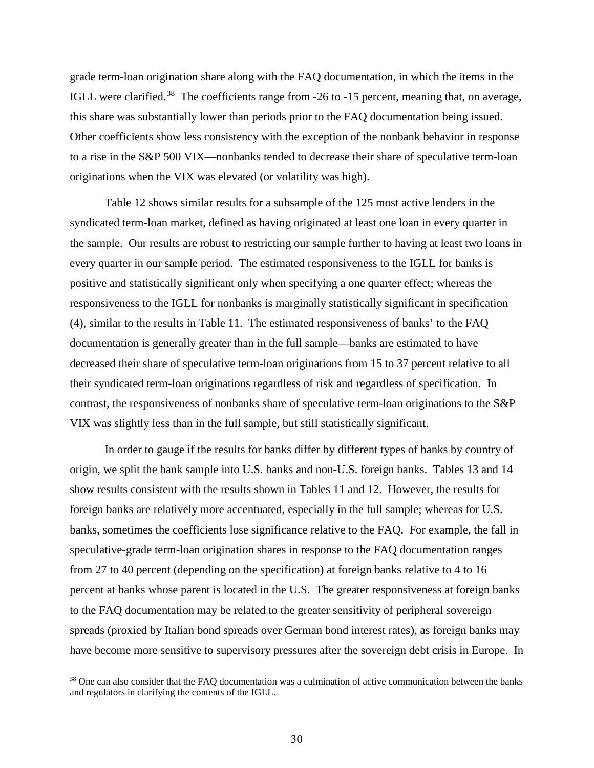grade term-loan origination share along with the FAQ documentation, in which the items in the IGLL were clarified.<sup>[38](#page-30-0)</sup> The coefficients range from -26 to -15 percent, meaning that, on average, this share was substantially lower than periods prior to the FAQ documentation being issued. Other coefficients show less consistency with the exception of the nonbank behavior in response to a rise in the S&P 500 VIX—nonbanks tended to decrease their share of speculative term-loan originations when the VIX was elevated (or volatility was high).

Table 12 shows similar results for a subsample of the 125 most active lenders in the syndicated term-loan market, defined as having originated at least one loan in every quarter in the sample. Our results are robust to restricting our sample further to having at least two loans in every quarter in our sample period. The estimated responsiveness to the IGLL for banks is positive and statistically significant only when specifying a one quarter effect; whereas the responsiveness to the IGLL for nonbanks is marginally statistically significant in specification (4), similar to the results in Table 11. The estimated responsiveness of banks' to the FAQ documentation is generally greater than in the full sample—banks are estimated to have decreased their share of speculative term-loan originations from 15 to 37 percent relative to all their syndicated term-loan originations regardless of risk and regardless of specification. In contrast, the responsiveness of nonbanks share of speculative term-loan originations to the S&P VIX was slightly less than in the full sample, but still statistically significant.

In order to gauge if the results for banks differ by different types of banks by country of origin, we split the bank sample into U.S. banks and non-U.S. foreign banks. Tables 13 and 14 show results consistent with the results shown in Tables 11 and 12. However, the results for foreign banks are relatively more accentuated, especially in the full sample; whereas for U.S. banks, sometimes the coefficients lose significance relative to the FAQ. For example, the fall in speculative-grade term-loan origination shares in response to the FAQ documentation ranges from 27 to 40 percent (depending on the specification) at foreign banks relative to 4 to 16 percent at banks whose parent is located in the U.S. The greater responsiveness at foreign banks to the FAQ documentation may be related to the greater sensitivity of peripheral sovereign spreads (proxied by Italian bond spreads over German bond interest rates), as foreign banks may have become more sensitive to supervisory pressures after the sovereign debt crisis in Europe. In

<span id="page-30-0"></span> $38$  One can also consider that the FAQ documentation was a culmination of active communication between the banks and regulators in clarifying the contents of the IGLL.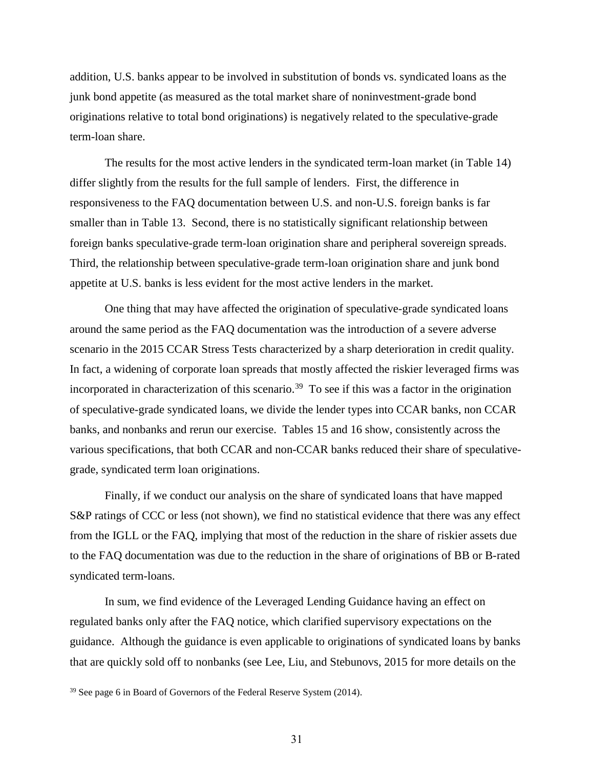addition, U.S. banks appear to be involved in substitution of bonds vs. syndicated loans as the junk bond appetite (as measured as the total market share of noninvestment-grade bond originations relative to total bond originations) is negatively related to the speculative-grade term-loan share.

The results for the most active lenders in the syndicated term-loan market (in Table 14) differ slightly from the results for the full sample of lenders. First, the difference in responsiveness to the FAQ documentation between U.S. and non-U.S. foreign banks is far smaller than in Table 13. Second, there is no statistically significant relationship between foreign banks speculative-grade term-loan origination share and peripheral sovereign spreads. Third, the relationship between speculative-grade term-loan origination share and junk bond appetite at U.S. banks is less evident for the most active lenders in the market.

One thing that may have affected the origination of speculative-grade syndicated loans around the same period as the FAQ documentation was the introduction of a severe adverse scenario in the 2015 CCAR Stress Tests characterized by a sharp deterioration in credit quality. In fact, a widening of corporate loan spreads that mostly affected the riskier leveraged firms was incorporated in characterization of this scenario. [39](#page-31-0) To see if this was a factor in the origination of speculative-grade syndicated loans, we divide the lender types into CCAR banks, non CCAR banks, and nonbanks and rerun our exercise. Tables 15 and 16 show, consistently across the various specifications, that both CCAR and non-CCAR banks reduced their share of speculativegrade, syndicated term loan originations.

Finally, if we conduct our analysis on the share of syndicated loans that have mapped S&P ratings of CCC or less (not shown), we find no statistical evidence that there was any effect from the IGLL or the FAQ, implying that most of the reduction in the share of riskier assets due to the FAQ documentation was due to the reduction in the share of originations of BB or B-rated syndicated term-loans.

In sum, we find evidence of the Leveraged Lending Guidance having an effect on regulated banks only after the FAQ notice, which clarified supervisory expectations on the guidance. Although the guidance is even applicable to originations of syndicated loans by banks that are quickly sold off to nonbanks (see Lee, Liu, and Stebunovs, 2015 for more details on the

<span id="page-31-0"></span><sup>&</sup>lt;sup>39</sup> See page 6 in Board of Governors of the Federal Reserve System (2014).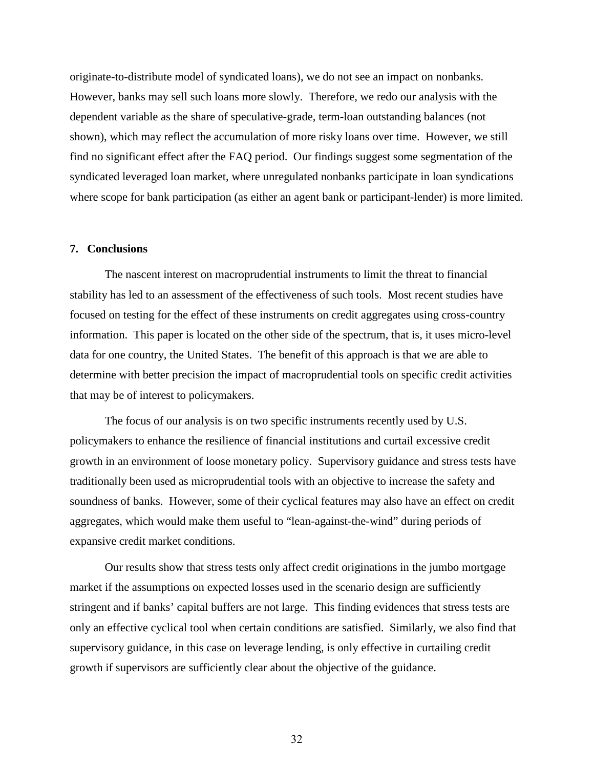originate-to-distribute model of syndicated loans), we do not see an impact on nonbanks. However, banks may sell such loans more slowly. Therefore, we redo our analysis with the dependent variable as the share of speculative-grade, term-loan outstanding balances (not shown), which may reflect the accumulation of more risky loans over time. However, we still find no significant effect after the FAQ period. Our findings suggest some segmentation of the syndicated leveraged loan market, where unregulated nonbanks participate in loan syndications where scope for bank participation (as either an agent bank or participant-lender) is more limited.

# **7. Conclusions**

The nascent interest on macroprudential instruments to limit the threat to financial stability has led to an assessment of the effectiveness of such tools. Most recent studies have focused on testing for the effect of these instruments on credit aggregates using cross-country information. This paper is located on the other side of the spectrum, that is, it uses micro-level data for one country, the United States. The benefit of this approach is that we are able to determine with better precision the impact of macroprudential tools on specific credit activities that may be of interest to policymakers.

The focus of our analysis is on two specific instruments recently used by U.S. policymakers to enhance the resilience of financial institutions and curtail excessive credit growth in an environment of loose monetary policy. Supervisory guidance and stress tests have traditionally been used as microprudential tools with an objective to increase the safety and soundness of banks. However, some of their cyclical features may also have an effect on credit aggregates, which would make them useful to "lean-against-the-wind" during periods of expansive credit market conditions.

Our results show that stress tests only affect credit originations in the jumbo mortgage market if the assumptions on expected losses used in the scenario design are sufficiently stringent and if banks' capital buffers are not large. This finding evidences that stress tests are only an effective cyclical tool when certain conditions are satisfied. Similarly, we also find that supervisory guidance, in this case on leverage lending, is only effective in curtailing credit growth if supervisors are sufficiently clear about the objective of the guidance.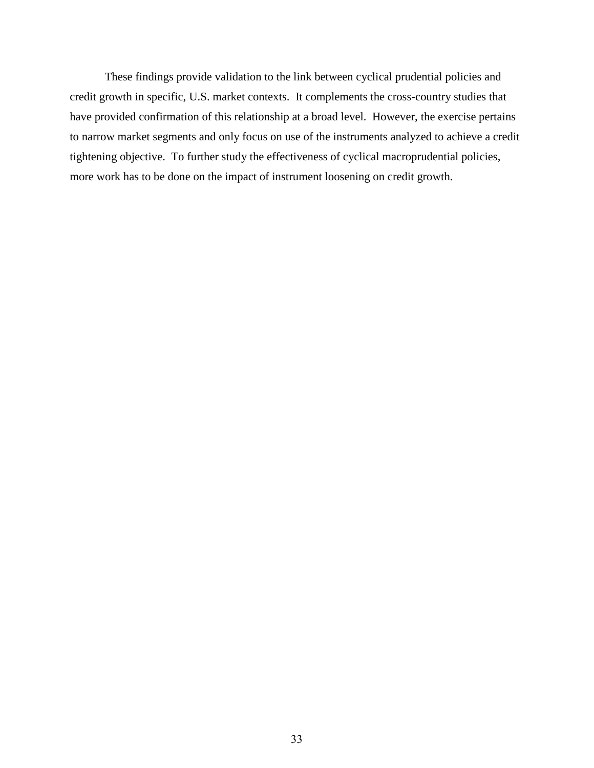These findings provide validation to the link between cyclical prudential policies and credit growth in specific, U.S. market contexts. It complements the cross-country studies that have provided confirmation of this relationship at a broad level. However, the exercise pertains to narrow market segments and only focus on use of the instruments analyzed to achieve a credit tightening objective. To further study the effectiveness of cyclical macroprudential policies, more work has to be done on the impact of instrument loosening on credit growth.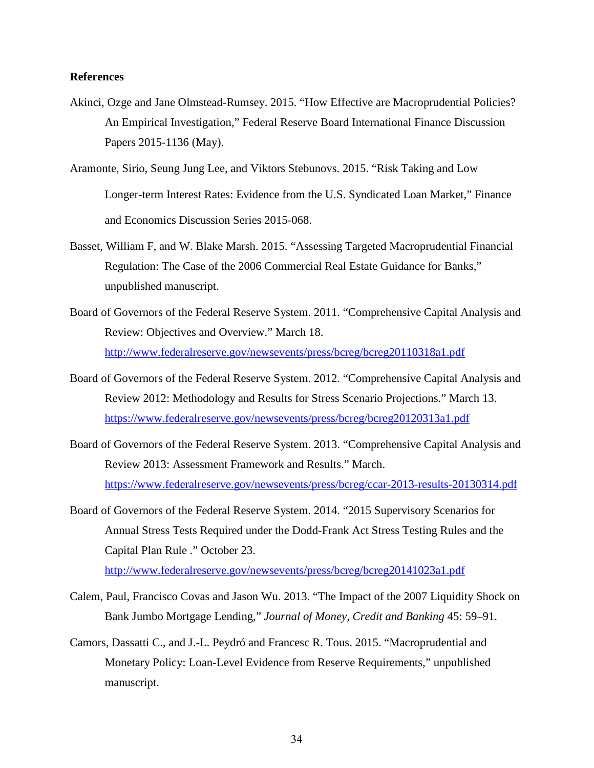# **References**

- Akinci, Ozge and Jane Olmstead-Rumsey. 2015. "How Effective are Macroprudential Policies? An Empirical Investigation," Federal Reserve Board International Finance Discussion Papers 2015-1136 (May).
- Aramonte, Sirio, Seung Jung Lee, and Viktors Stebunovs. 2015. "Risk Taking and Low Longer-term Interest Rates: Evidence from the U.S. Syndicated Loan Market," Finance and Economics Discussion Series 2015-068.
- Basset, William F, and W. Blake Marsh. 2015. "Assessing Targeted Macroprudential Financial Regulation: The Case of the 2006 Commercial Real Estate Guidance for Banks," unpublished manuscript.
- Board of Governors of the Federal Reserve System. 2011. "Comprehensive Capital Analysis and Review: Objectives and Overview." March 18. <http://www.federalreserve.gov/newsevents/press/bcreg/bcreg20110318a1.pdf>
- Board of Governors of the Federal Reserve System. 2012. "Comprehensive Capital Analysis and Review 2012: Methodology and Results for Stress Scenario Projections." March 13. https://www.federalreserve.gov/newsevents/press/bcreg/bcreg20120313a1.pdf
- Board of Governors of the Federal Reserve System. 2013. "Comprehensive Capital Analysis and Review 2013: Assessment Framework and Results." March. <https://www.federalreserve.gov/newsevents/press/bcreg/ccar-2013-results-20130314.pdf>
- Board of Governors of the Federal Reserve System. 2014. "2015 Supervisory Scenarios for Annual Stress Tests Required under the Dodd-Frank Act Stress Testing Rules and the Capital Plan Rule ." October 23.

http://www.federalreserve.gov/newsevents/press/bcreg/bcreg20141023a1.pdf

- Calem, Paul, Francisco Covas and Jason Wu. 2013. "The Impact of the 2007 Liquidity Shock on Bank Jumbo Mortgage Lending," *Journal of Money, Credit and Banking* 45: 59–91.
- Camors, Dassatti C., and J.-L. Peydró and Francesc R. Tous. 2015. "Macroprudential and Monetary Policy: Loan-Level Evidence from Reserve Requirements," unpublished manuscript.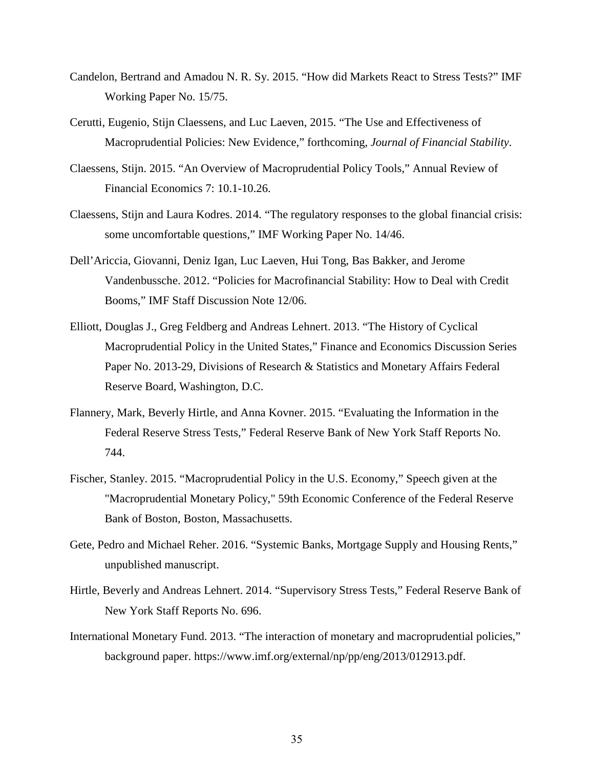- Candelon, Bertrand and Amadou N. R. Sy. 2015. "How did Markets React to Stress Tests?" IMF Working Paper No. 15/75.
- Cerutti, Eugenio, Stijn Claessens, and Luc Laeven, 2015. "The Use and Effectiveness of Macroprudential Policies: New Evidence," forthcoming, *Journal of Financial Stability*.
- Claessens, Stijn. 2015. "An Overview of Macroprudential Policy Tools," Annual Review of Financial Economics 7: 10.1-10.26.
- Claessens, Stijn and Laura Kodres. 2014. "The regulatory responses to the global financial crisis: some uncomfortable questions," IMF Working Paper No. 14/46.
- Dell'Ariccia, Giovanni, Deniz Igan, Luc Laeven, Hui Tong, Bas Bakker, and Jerome Vandenbussche. 2012. "Policies for Macrofinancial Stability: How to Deal with Credit Booms," IMF Staff Discussion Note 12/06.
- Elliott, Douglas J., Greg Feldberg and Andreas Lehnert. 2013. "The History of Cyclical Macroprudential Policy in the United States," Finance and Economics Discussion Series Paper No. 2013-29, Divisions of Research & Statistics and Monetary Affairs Federal Reserve Board, Washington, D.C.
- Flannery, Mark, Beverly Hirtle, and Anna Kovner. 2015. "Evaluating the Information in the Federal Reserve Stress Tests," Federal Reserve Bank of New York Staff Reports No. 744.
- Fischer, Stanley. 2015. "Macroprudential Policy in the U.S. Economy," Speech given at the "Macroprudential Monetary Policy," 59th Economic Conference of the Federal Reserve Bank of Boston, Boston, Massachusetts.
- Gete, Pedro and Michael Reher. 2016. "Systemic Banks, Mortgage Supply and Housing Rents," unpublished manuscript.
- Hirtle, Beverly and Andreas Lehnert. 2014. "Supervisory Stress Tests," Federal Reserve Bank of New York Staff Reports No. 696.
- International Monetary Fund. 2013. "The interaction of monetary and macroprudential policies," background paper. https://www.imf.org/external/np/pp/eng/2013/012913.pdf.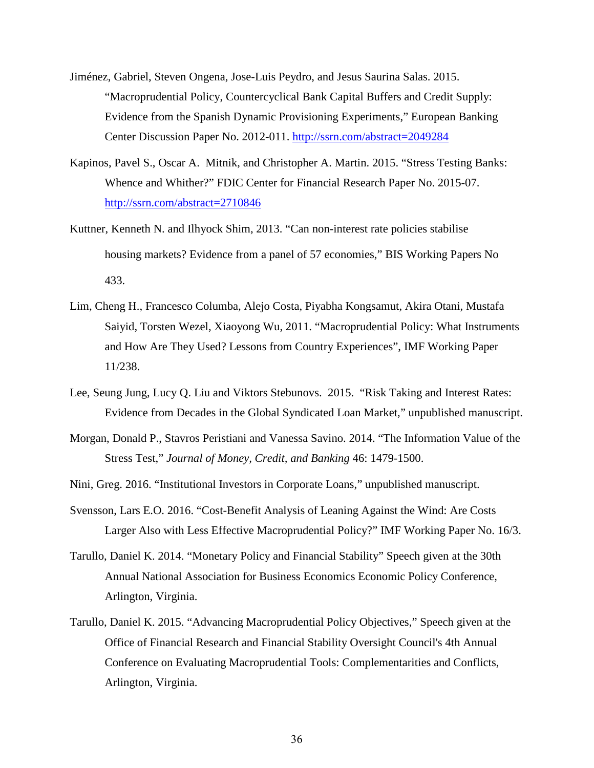- Jiménez, Gabriel, Steven Ongena, Jose-Luis Peydro, and Jesus Saurina Salas. 2015. "Macroprudential Policy, Countercyclical Bank Capital Buffers and Credit Supply: Evidence from the Spanish Dynamic Provisioning Experiments," European Banking Center Discussion Paper No. 2012-011.<http://ssrn.com/abstract=2049284>
- Kapinos, Pavel S., Oscar A. Mitnik, and Christopher A. Martin. 2015. "Stress Testing Banks: Whence and Whither?" FDIC Center for Financial Research Paper No. 2015-07. <http://ssrn.com/abstract=2710846>
- Kuttner, Kenneth N. and Ilhyock Shim, 2013. "Can non-interest rate policies stabilise housing markets? Evidence from a panel of 57 economies," BIS Working Papers No 433.
- Lim, Cheng H., Francesco Columba, Alejo Costa, Piyabha Kongsamut, Akira Otani, Mustafa Saiyid, Torsten Wezel, Xiaoyong Wu, 2011. "Macroprudential Policy: What Instruments and How Are They Used? Lessons from Country Experiences", IMF Working Paper 11/238.
- Lee, Seung Jung, Lucy Q. Liu and Viktors Stebunovs. 2015. "Risk Taking and Interest Rates: Evidence from Decades in the Global Syndicated Loan Market," unpublished manuscript.
- Morgan, Donald P., Stavros Peristiani and Vanessa Savino. 2014. "The Information Value of the Stress Test," *Journal of Money, Credit, and Banking* 46: 1479-1500.
- Nini, Greg. 2016. "Institutional Investors in Corporate Loans," unpublished manuscript.
- Svensson, Lars E.O. 2016. "Cost-Benefit Analysis of Leaning Against the Wind: Are Costs Larger Also with Less Effective Macroprudential Policy?" IMF Working Paper No. 16/3.
- Tarullo, Daniel K. 2014. "Monetary Policy and Financial Stability" Speech given at the 30th Annual National Association for Business Economics Economic Policy Conference, Arlington, Virginia.
- Tarullo, Daniel K. 2015. "Advancing Macroprudential Policy Objectives," Speech given at the Office of Financial Research and Financial Stability Oversight Council's 4th Annual Conference on Evaluating Macroprudential Tools: Complementarities and Conflicts, Arlington, Virginia.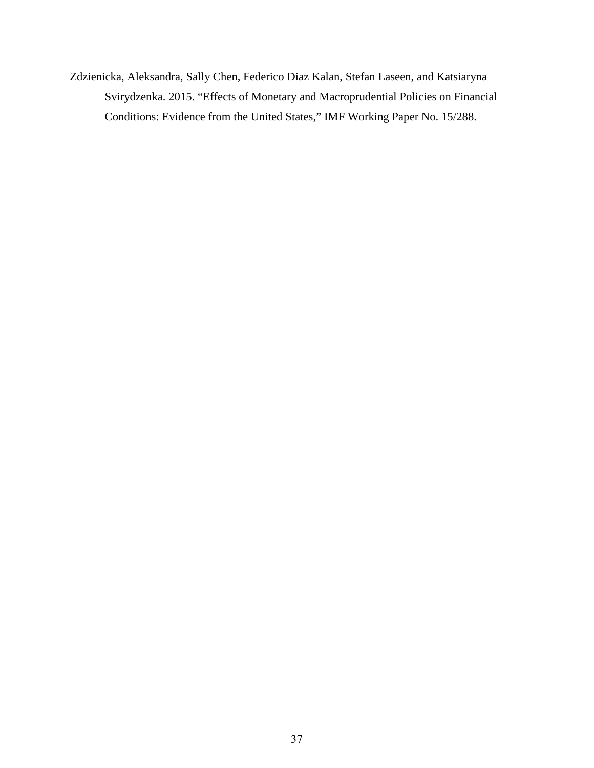Zdzienicka, Aleksandra, Sally Chen, Federico Diaz Kalan, Stefan Laseen, and Katsiaryna Svirydzenka. 2015. "Effects of Monetary and Macroprudential Policies on Financial Conditions: Evidence from the United States," IMF Working Paper No. 15/288.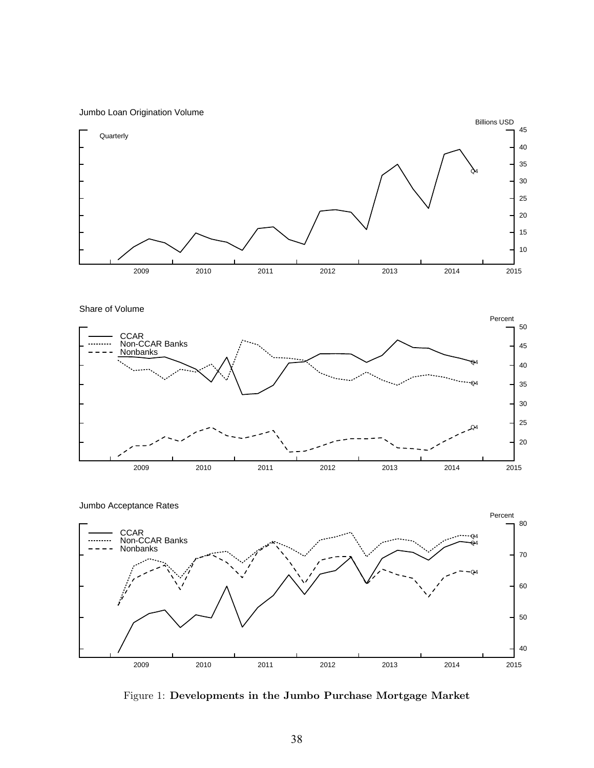Jumbo Loan Origination Volume



Share of Volume



2009 2010 2011 2012 2013 2014 2015 40 50 60 70 80 Q4  $-<sub>Q4</sub>$  $<sub>04</sub>$ </sub> Percent CCAR Non-CCAR Banks Nonbanks Jumbo Acceptance Rates

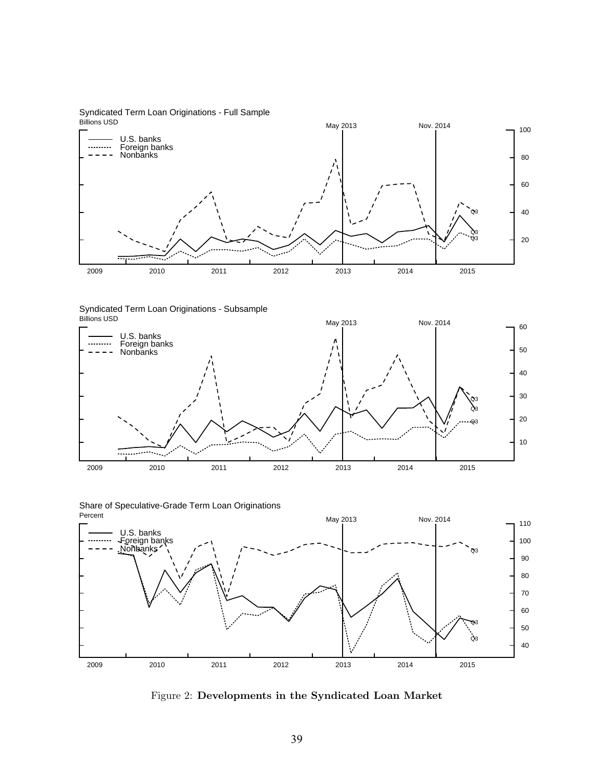Billions USD Syndicated Term Loan Originations - Full Sample



Billions USD Syndicated Term Loan Originations - Subsample



Percent Share of Speculative-Grade Term Loan Originations



Figure 2: Developments in the Syndicated Loan Market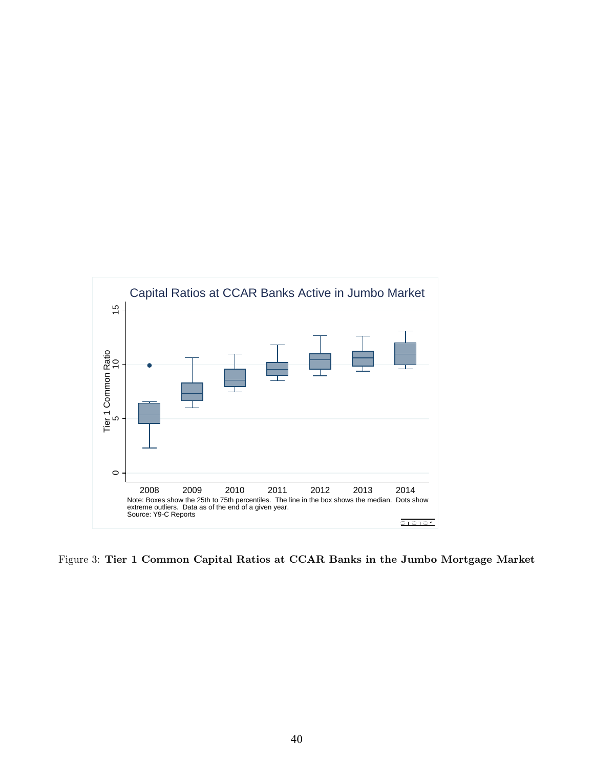

Figure 3: Tier 1 Common Capital Ratios at CCAR Banks in the Jumbo Mortgage Market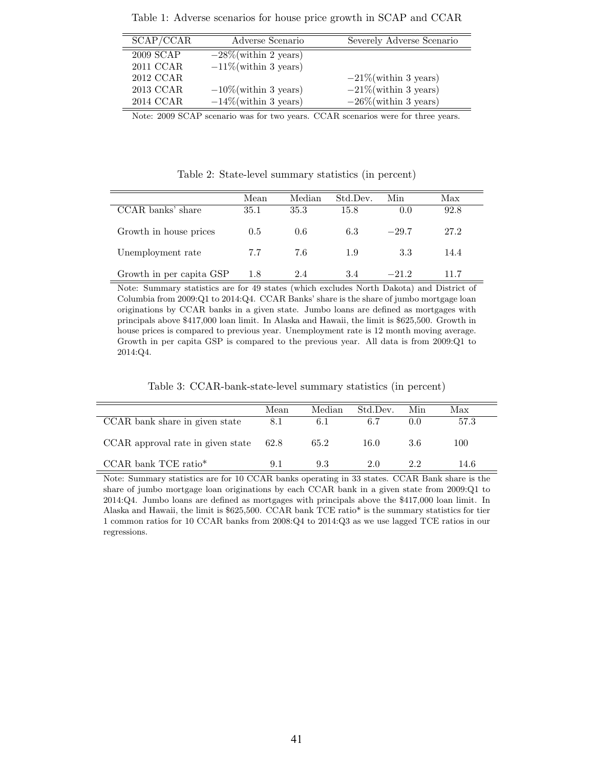| SCAP/CCAR | Adverse Scenario         | Severely Adverse Scenario |
|-----------|--------------------------|---------------------------|
| 2009 SCAP | $-28\%$ (within 2 years) |                           |
| 2011 CCAR | $-11\%$ (within 3 years) |                           |
| 2012 CCAR |                          | $-21\%$ (within 3 years)  |
| 2013 CCAR | $-10\%$ (within 3 years) | $-21\%$ (within 3 years)  |
| 2014 CCAR | $-14\%$ (within 3 years) | $-26\%$ (within 3 years)  |

Table 1: Adverse scenarios for house price growth in SCAP and CCAR

Note: 2009 SCAP scenario was for two years. CCAR scenarios were for three years.

Table 2: State-level summary statistics (in percent)

|                          | Mean | Median | Std.Dev. | Min     | Max  |  |
|--------------------------|------|--------|----------|---------|------|--|
| CCAR banks' share        | 35.1 | 35.3   | 15.8     | 0.0     | 92.8 |  |
| Growth in house prices   | 0.5  | 0.6    | 6.3      | $-29.7$ | 27.2 |  |
| Unemployment rate        | 7.7  | 7.6    | 1.9      | 3.3     | 14.4 |  |
| Growth in per capita GSP | 1.8  | 2.4    | 3.4      | $-21.2$ | 11 7 |  |

Note: Summary statistics are for 49 states (which excludes North Dakota) and District of Columbia from 2009:Q1 to 2014:Q4. CCAR Banks' share is the share of jumbo mortgage loan originations by CCAR banks in a given state. Jumbo loans are defined as mortgages with principals above \$417,000 loan limit. In Alaska and Hawaii, the limit is \$625,500. Growth in house prices is compared to previous year. Unemployment rate is 12 month moving average. Growth in per capita GSP is compared to the previous year. All data is from 2009:Q1 to 2014:Q4.

Table 3: CCAR-bank-state-level summary statistics (in percent)

|                                      | Mean | Median | Std.Dev. | Min   | Max  |
|--------------------------------------|------|--------|----------|-------|------|
| CCAR bank share in given state       | 8.1  | 6.1    | 6.7      | (1.0) | 57.3 |
| CCAR approval rate in given state    | 62.8 | 65.2   | 16.0     | 3.6   | 100  |
| $CCAR$ bank $TCE$ ratio <sup>*</sup> | 91   | 9.3    | 2.0      | 22    | 14.6 |

Note: Summary statistics are for 10 CCAR banks operating in 33 states. CCAR Bank share is the share of jumbo mortgage loan originations by each CCAR bank in a given state from 2009:Q1 to 2014:Q4. Jumbo loans are defined as mortgages with principals above the \$417,000 loan limit. In Alaska and Hawaii, the limit is \$625,500. CCAR bank TCE ratio\* is the summary statistics for tier 1 common ratios for 10 CCAR banks from 2008:Q4 to 2014:Q3 as we use lagged TCE ratios in our regressions.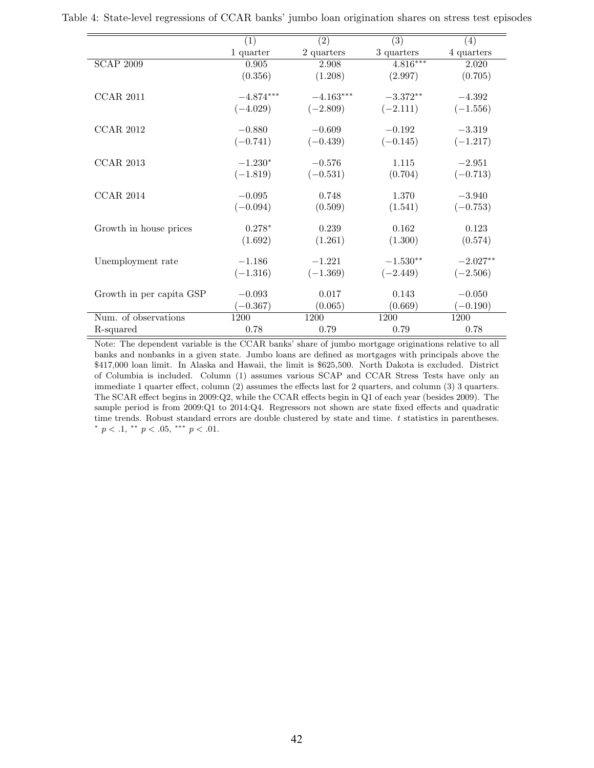|                          | (1)         | (2)         | $\overline{(3)}$ | (4)        |
|--------------------------|-------------|-------------|------------------|------------|
|                          | 1 quarter   | 2 quarters  | 3 quarters       | 4 quarters |
| <b>SCAP 2009</b>         | 0.905       | 2.908       | $4.816***$       | 2.020      |
|                          | (0.356)     | (1.208)     | (2.997)          | (0.705)    |
| <b>CCAR 2011</b>         | $-4.874***$ | $-4.163***$ | $-3.372**$       | $-4.392$   |
|                          | $(-4.029)$  | $(-2.809)$  | $(-2.111)$       | $(-1.556)$ |
| <b>CCAR 2012</b>         | $-0.880$    | $-0.609$    | $-0.192$         | $-3.319$   |
|                          | $(-0.741)$  | $(-0.439)$  | $(-0.145)$       | $(-1.217)$ |
| <b>CCAR 2013</b>         | $-1.230*$   | $-0.576$    | 1.115            | $-2.951$   |
|                          | $(-1.819)$  | $(-0.531)$  | (0.704)          | $(-0.713)$ |
| <b>CCAR 2014</b>         | $-0.095$    | 0.748       | 1.370            | $-3.940$   |
|                          | $(-0.094)$  | (0.509)     | (1.541)          | $(-0.753)$ |
| Growth in house prices   | $0.278*$    | 0.239       | 0.162            | 0.123      |
|                          | (1.692)     | (1.261)     | (1.300)          | (0.574)    |
| Unemployment rate        | $-1.186$    | $-1.221$    | $-1.530**$       | $-2.027**$ |
|                          | $(-1.316)$  | $(-1.369)$  | $(-2.449)$       | $(-2.506)$ |
| Growth in per capita GSP | $-0.093$    | 0.017       | 0.143            | $-0.050$   |
|                          | $(-0.367)$  | (0.065)     | (0.669)          | $(-0.190)$ |
| Num. of observations     | 1200        | 1200        | 1200             | 1200       |
| R-squared                | 0.78        | 0.79        | 0.79             | 0.78       |

Table 4: State-level regressions of CCAR banks' jumbo loan origination shares on stress test episodes

Note: The dependent variable is the CCAR banks' share of jumbo mortgage originations relative to all banks and nonbanks in a given state. Jumbo loans are defined as mortgages with principals above the \$417,000 loan limit. In Alaska and Hawaii, the limit is \$625,500. North Dakota is excluded. District of Columbia is included. Column (1) assumes various SCAP and CCAR Stress Tests have only an immediate 1 quarter effect, column (2) assumes the effects last for 2 quarters, and column (3) 3 quarters. The SCAR effect begins in 2009:Q2, while the CCAR effects begin in Q1 of each year (besides 2009). The sample period is from 2009:Q1 to 2014:Q4. Regressors not shown are state fixed effects and quadratic time trends. Robust standard errors are double clustered by state and time.  $t$  statistics in parentheses. \*  $p < .1$ , \*\*  $p < .05$ , \*\*\*  $p < .01$ .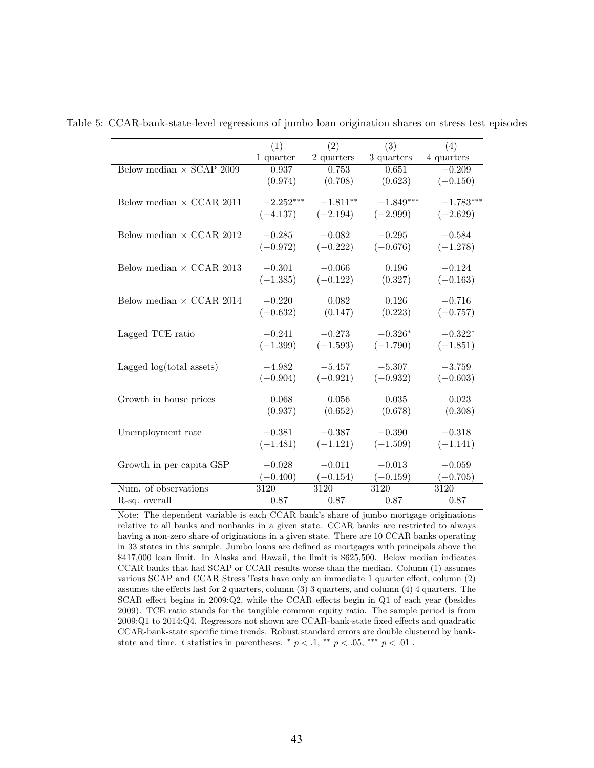|                                 | $\overline{(1)}$ | $\overline{(2)}$ | $\overline{(3)}$ | $\overline{(4)}$ |
|---------------------------------|------------------|------------------|------------------|------------------|
|                                 | 1 quarter        | 2 quarters       | 3 quarters       | 4 quarters       |
| Below median $\times$ SCAP 2009 | 0.937            | 0.753            | 0.651            | $-0.209$         |
|                                 | (0.974)          | (0.708)          | (0.623)          | $(-0.150)$       |
|                                 |                  |                  |                  |                  |
| Below median $\times$ CCAR 2011 | $-2.252***$      | $-1.811**$       | $-1.849***$      | $-1.783***$      |
|                                 | $(-4.137)$       | $(-2.194)$       | $(-2.999)$       | $(-2.629)$       |
|                                 |                  |                  |                  |                  |
| Below median $\times$ CCAR 2012 | $-0.285$         | $-0.082$         | $-0.295$         | $-0.584$         |
|                                 | $(-0.972)$       | $(-0.222)$       | $(-0.676)$       | $(-1.278)$       |
| Below median $\times$ CCAR 2013 | $-0.301$         | $-0.066$         | 0.196            | $-0.124$         |
|                                 | $(-1.385)$       | $(-0.122)$       | (0.327)          | $(-0.163)$       |
|                                 |                  |                  |                  |                  |
| Below median $\times$ CCAR 2014 | $-0.220$         | 0.082            | 0.126            | $-0.716$         |
|                                 | $(-0.632)$       | (0.147)          | (0.223)          | $(-0.757)$       |
|                                 |                  |                  |                  |                  |
| Lagged TCE ratio                | $-0.241$         | $-0.273$         | $-0.326*$        | $-0.322*$        |
|                                 | $(-1.399)$       | $(-1.593)$       | $(-1.790)$       | $(-1.851)$       |
|                                 |                  |                  |                  |                  |
| Lagged $log(total$ assets)      | $-4.982$         | $-5.457$         | $-5.307$         | $-3.759$         |
|                                 | $(-0.904)$       | $(-0.921)$       | $(-0.932)$       | $(-0.603)$       |
|                                 |                  |                  |                  |                  |
| Growth in house prices          | 0.068            | 0.056            | 0.035            | 0.023            |
|                                 | (0.937)          | (0.652)          | (0.678)          | (0.308)          |
| Unemployment rate               | $-0.381$         | $-0.387$         | $-0.390$         | $-0.318$         |
|                                 | $(-1.481)$       | $(-1.121)$       | $(-1.509)$       | $(-1.141)$       |
|                                 |                  |                  |                  |                  |
| Growth in per capita GSP        | $-0.028$         | $-0.011$         | $-0.013$         | $-0.059$         |
|                                 | $(-0.400)$       | $(-0.154)$       | $(-0.159)$       | $(-0.705)$       |
| Num. of observations            | 3120             | 3120             | 3120             | 3120             |
| R-sq. overall                   | 0.87             | 0.87             | 0.87             | 0.87             |

Table 5: CCAR-bank-state-level regressions of jumbo loan origination shares on stress test episodes

Note: The dependent variable is each CCAR bank's share of jumbo mortgage originations relative to all banks and nonbanks in a given state. CCAR banks are restricted to always having a non-zero share of originations in a given state. There are 10 CCAR banks operating in 33 states in this sample. Jumbo loans are defined as mortgages with principals above the \$417,000 loan limit. In Alaska and Hawaii, the limit is \$625,500. Below median indicates CCAR banks that had SCAP or CCAR results worse than the median. Column (1) assumes various SCAP and CCAR Stress Tests have only an immediate 1 quarter effect, column (2) assumes the effects last for 2 quarters, column (3) 3 quarters, and column (4) 4 quarters. The SCAR effect begins in 2009:Q2, while the CCAR effects begin in Q1 of each year (besides 2009). TCE ratio stands for the tangible common equity ratio. The sample period is from 2009:Q1 to 2014:Q4. Regressors not shown are CCAR-bank-state fixed effects and quadratic CCAR-bank-state specific time trends. Robust standard errors are double clustered by bankstate and time. t statistics in parentheses.  $\degree p < 0.1$ ,  $\degree^* p < 0.05$ ,  $\degree^{***} p < 0.01$ .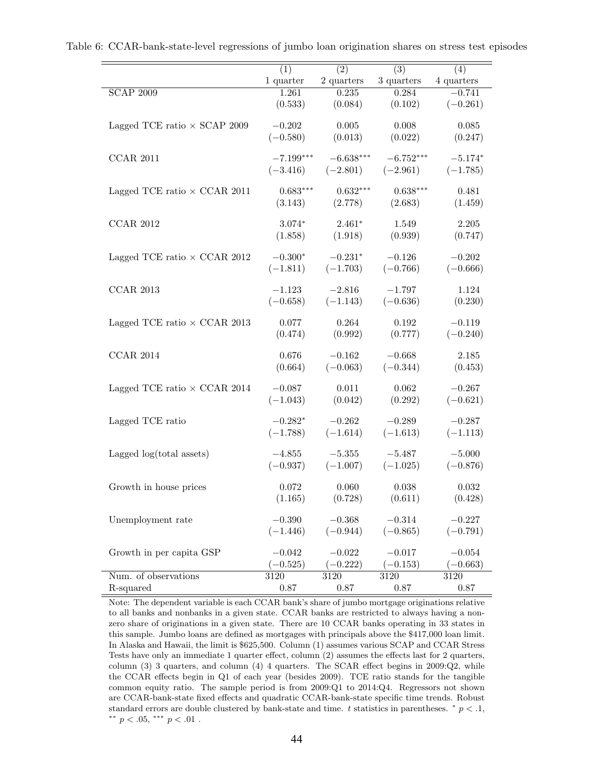|                                     | (1)         | $\overline{(2)}$ | $\overline{(3)}$ | $\overline{(4)}$ |
|-------------------------------------|-------------|------------------|------------------|------------------|
|                                     | 1 quarter   | 2 quarters       | 3 quarters       | 4 quarters       |
| $SCAP$ 2009                         | 1.261       | 0.235            | 0.284            | $-0.741$         |
|                                     | (0.533)     | (0.084)          | (0.102)          | $(-0.261)$       |
| Lagged TCE ratio $\times$ SCAP 2009 | $-0.202$    | 0.005            | 0.008            | 0.085            |
|                                     | $(-0.580)$  | (0.013)          | (0.022)          | (0.247)          |
|                                     |             |                  |                  |                  |
| <b>CCAR 2011</b>                    | $-7.199***$ | $-6.638***$      | $-6.752***$      | $-5.174*$        |
|                                     | $(-3.416)$  | $(-2.801)$       | $(-2.961)$       | $(-1.785)$       |
|                                     |             |                  |                  |                  |
| Lagged TCE ratio $\times$ CCAR 2011 | $0.683***$  | $0.632***$       | $0.638***$       | 0.481            |
|                                     | (3.143)     | (2.778)          | (2.683)          | (1.459)          |
|                                     |             |                  |                  |                  |
| <b>CCAR 2012</b>                    | $3.074*$    | $2.461*$         | 1.549            | 2.205            |
|                                     | (1.858)     | (1.918)          | (0.939)          | (0.747)          |
| Lagged TCE ratio $\times$ CCAR 2012 | $-0.300*$   | $-0.231*$        | $-0.126$         | $-0.202$         |
|                                     |             |                  | $(-0.766)$       |                  |
|                                     | $(-1.811)$  | $(-1.703)$       |                  | $(-0.666)$       |
| <b>CCAR 2013</b>                    | $-1.123$    | $-2.816$         | $-1.797$         | 1.124            |
|                                     | $(-0.658)$  | $(-1.143)$       | $(-0.636)$       | (0.230)          |
|                                     |             |                  |                  |                  |
| Lagged TCE ratio $\times$ CCAR 2013 | 0.077       | 0.264            | 0.192            | $-0.119$         |
|                                     | (0.474)     | (0.992)          | (0.777)          | $(-0.240)$       |
|                                     |             |                  |                  |                  |
| <b>CCAR 2014</b>                    | 0.676       | $-0.162$         | $-0.668$         | 2.185            |
|                                     | (0.664)     | $(-0.063)$       | $(-0.344)$       | (0.453)          |
|                                     |             |                  |                  |                  |
| Lagged TCE ratio $\times$ CCAR 2014 | $-0.087$    | 0.011            | 0.062            | $-0.267$         |
|                                     | $(-1.043)$  | (0.042)          | (0.292)          | $(-0.621)$       |
| Lagged TCE ratio                    | $-0.282*$   | $-0.262$         | $-0.289$         | $-0.287$         |
|                                     | $(-1.788)$  | $(-1.614)$       | $(-1.613)$       | $(-1.113)$       |
|                                     |             |                  |                  |                  |
| Lagged $log(total$ assets)          | $-4.855$    | $-5.355$         | $-5.487$         | $-5.000$         |
|                                     | $(-0.937)$  | $(-1.007)$       | $(-1.025)$       | $(-0.876)$       |
|                                     |             |                  |                  |                  |
| Growth in house prices              | 0.072       | 0.060            | 0.038            | 0.032            |
|                                     | (1.165)     | (0.728)          | (0.611)          | (0.428)          |
|                                     |             |                  |                  |                  |
| Unemployment rate                   | $-0.390$    | $-0.368$         | $-0.314$         | $-0.227$         |
|                                     | $(-1.446)$  | $(-0.944)$       | $(-0.865)$       | $(-0.791)$       |
| Growth in per capita GSP            | $-0.042$    | $-0.022$         | $-0.017$         | $-0.054$         |
|                                     | $-0.525)$   | $-0.222$         | $(-0.153)$       | $(-0.663)$       |
| Num. of observations                | 3120        | 3120             | 3120             | 3120             |
| R-squared                           | 0.87        | $0.87\,$         | 0.87             | 0.87             |
|                                     |             |                  |                  |                  |

Table 6: CCAR-bank-state-level regressions of jumbo loan origination shares on stress test episodes

Note: The dependent variable is each CCAR bank's share of jumbo mortgage originations relative to all banks and nonbanks in a given state. CCAR banks are restricted to always having a nonzero share of originations in a given state. There are 10 CCAR banks operating in 33 states in this sample. Jumbo loans are defined as mortgages with principals above the \$417,000 loan limit. In Alaska and Hawaii, the limit is \$625,500. Column (1) assumes various SCAP and CCAR Stress Tests have only an immediate 1 quarter effect, column (2) assumes the effects last for 2 quarters, column (3) 3 quarters, and column (4) 4 quarters. The SCAR effect begins in 2009:Q2, while the CCAR effects begin in Q1 of each year (besides 2009). TCE ratio stands for the tangible common equity ratio. The sample period is from 2009:Q1 to 2014:Q4. Regressors not shown are CCAR-bank-state fixed effects and quadratic CCAR-bank-state specific time trends. Robust standard errors are double clustered by bank-state and time. t statistics in parentheses.  $* p < 0.1$ ,  $^{\ast\ast}$   $p$   $<$  .05,  $^{\ast\ast\ast}$   $p$   $<$  .01 .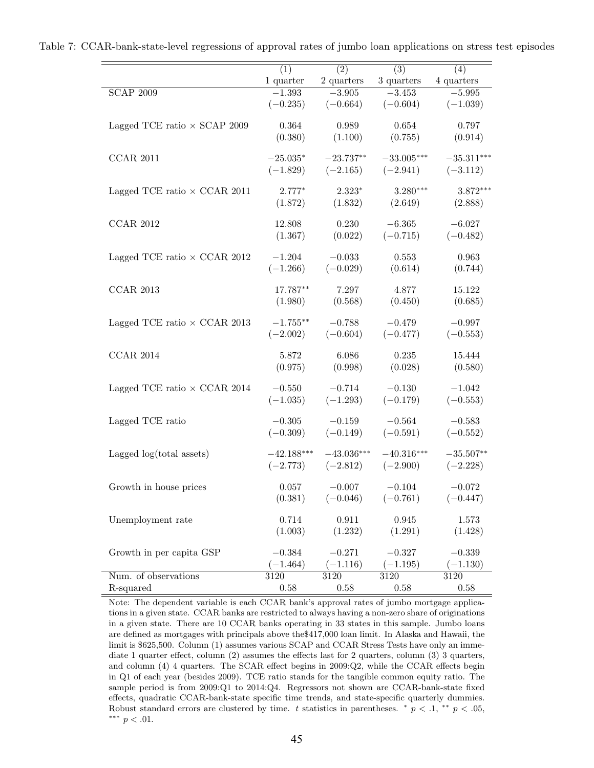|                                     | (1)          | $\overline{(2)}$ | $\overline{(3)}$ | (4)          |
|-------------------------------------|--------------|------------------|------------------|--------------|
|                                     | 1 quarter    | 2 quarters       | 3 quarters       | 4 quarters   |
| <b>SCAP 2009</b>                    | $-1.393$     | $-3.905$         | $-3.453$         | $-5.995$     |
|                                     | $(-0.235)$   | $(-0.664)$       | $(-0.604)$       | $(-1.039)$   |
| Lagged TCE ratio $\times$ SCAP 2009 | 0.364        | 0.989            | $\,0.654\,$      | 0.797        |
|                                     | (0.380)      | (1.100)          | (0.755)          | (0.914)      |
|                                     |              |                  |                  |              |
| <b>CCAR 2011</b>                    | $-25.035*$   | $-23.737**$      | $-33.005***$     | $-35.311***$ |
|                                     | $(-1.829)$   | $(-2.165)$       | $(-2.941)$       | $(-3.112)$   |
|                                     |              |                  |                  |              |
| Lagged TCE ratio $\times$ CCAR 2011 | $2.777*$     | $2.323*$         | $3.280***$       | $3.872***$   |
|                                     | (1.872)      | (1.832)          | (2.649)          | (2.888)      |
| <b>CCAR 2012</b>                    | 12.808       | 0.230            | $-6.365$         | $-6.027$     |
|                                     | (1.367)      | (0.022)          | $(-0.715)$       | $(-0.482)$   |
|                                     |              |                  |                  |              |
| Lagged TCE ratio $\times$ CCAR 2012 | $-1.204$     | $-0.033$         | 0.553            | 0.963        |
|                                     | $(-1.266)$   | $(-0.029)$       | (0.614)          | (0.744)      |
|                                     |              |                  |                  |              |
| <b>CCAR 2013</b>                    | 17.787**     | 7.297            | 4.877            | 15.122       |
|                                     | (1.980)      | (0.568)          | (0.450)          | (0.685)      |
| Lagged TCE ratio $\times$ CCAR 2013 | $-1.755***$  | $-0.788$         | $-0.479$         | $-0.997$     |
|                                     | $(-2.002)$   | $(-0.604)$       | $(-0.477)$       | $(-0.553)$   |
|                                     |              |                  |                  |              |
| <b>CCAR 2014</b>                    | 5.872        | 6.086            | 0.235            | 15.444       |
|                                     | (0.975)      | (0.998)          | (0.028)          | (0.580)      |
|                                     |              |                  |                  |              |
| Lagged TCE ratio $\times$ CCAR 2014 | $-0.550$     | $-0.714$         | $-0.130$         | $-1.042$     |
|                                     | $(-1.035)$   | $(-1.293)$       | $(-0.179)$       | $(-0.553)$   |
|                                     | $-0.305$     | $-0.159$         | $-0.564$         | $-0.583$     |
| Lagged TCE ratio                    | $(-0.309)$   | $(-0.149)$       | $(-0.591)$       | $(-0.552)$   |
|                                     |              |                  |                  |              |
| Lagged $log(total$ assets)          | $-42.188***$ | $-43.036***$     | $-40.316***$     | $-35.507**$  |
|                                     | $(-2.773)$   | $(-2.812)$       | $(-2.900)$       | $(-2.228)$   |
|                                     |              |                  |                  |              |
| Growth in house prices              | 0.057        | $-0.007$         | $-0.104$         | $-0.072$     |
|                                     | (0.381)      | $(-0.046)$       | $(-0.761)$       | $(-0.447)$   |
|                                     |              |                  |                  |              |
| Unemployment rate                   | 0.714        | 0.911            | 0.945            | 1.573        |
|                                     | (1.003)      | (1.232)          | (1.291)          | (1.428)      |
| Growth in per capita GSP            | $-0.384$     | $-0.271$         | $-0.327$         | $-0.339$     |
|                                     | $(-1.464)$   | $(-1.116)$       | $(-1.195)$       | $(-1.130)$   |
| Num. of observations                | $3120\,$     | 3120             | $3120\,$         | $3120\,$     |
| R-squared                           | $0.58\,$     | 0.58             | 0.58             | 0.58         |

Table 7: CCAR-bank-state-level regressions of approval rates of jumbo loan applications on stress test episodes

Note: The dependent variable is each CCAR bank's approval rates of jumbo mortgage applications in a given state. CCAR banks are restricted to always having a non-zero share of originations in a given state. There are 10 CCAR banks operating in 33 states in this sample. Jumbo loans are defined as mortgages with principals above the\$417,000 loan limit. In Alaska and Hawaii, the limit is \$625,500. Column (1) assumes various SCAP and CCAR Stress Tests have only an immediate 1 quarter effect, column (2) assumes the effects last for 2 quarters, column (3) 3 quarters, and column (4) 4 quarters. The SCAR effect begins in 2009:Q2, while the CCAR effects begin in Q1 of each year (besides 2009). TCE ratio stands for the tangible common equity ratio. The sample period is from 2009:Q1 to 2014:Q4. Regressors not shown are CCAR-bank-state fixed effects, quadratic CCAR-bank-state specific time trends, and state-specific quarterly dummies. Robust standard errors are clustered by time. t statistics in parentheses. \*  $p < .1$ , \*\*  $p < .05$ , ∗∗∗ p < .01.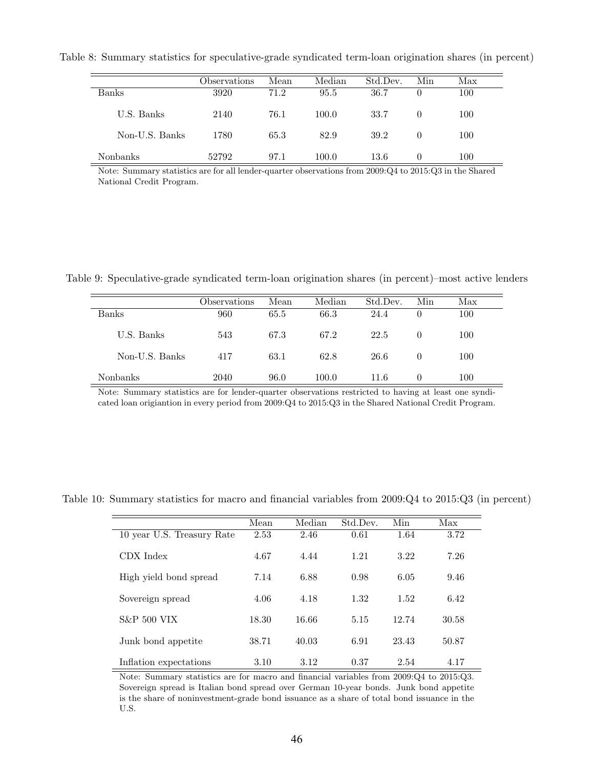Table 8: Summary statistics for speculative-grade syndicated term-loan origination shares (in percent)

|                | Observations | Mean | Median | Std.Dev. | Min              | Max |
|----------------|--------------|------|--------|----------|------------------|-----|
| Banks          | 3920         | 71.2 | 95.5   | 36.7     | $\theta$         | 100 |
| U.S. Banks     | 2140         | 76.1 | 100.0  | 33.7     | $\left( \right)$ | 100 |
| Non-U.S. Banks | 1780         | 65.3 | 82.9   | 39.2     | $\theta$         | 100 |
| Nonbanks       | 52792        | 97.1 | 100.0  | 13.6     | $\theta$         | 100 |

Note: Summary statistics are for all lender-quarter observations from 2009:Q4 to 2015:Q3 in the Shared National Credit Program.

Table 9: Speculative-grade syndicated term-loan origination shares (in percent)–most active lenders

|                | Observations | Mean | Median | Std.Dev. | Min      | Max |
|----------------|--------------|------|--------|----------|----------|-----|
| Banks          | 960          | 65.5 | 66.3   | 24.4     | $\theta$ | 100 |
| U.S. Banks     | 543          | 67.3 | 67.2   | 22.5     | $\theta$ | 100 |
| Non-U.S. Banks | 417          | 63.1 | 62.8   | 26.6     | $\theta$ | 100 |
| Nonbanks       | 2040         | 96.0 | 100.0  | 11.6     | $\Omega$ | 100 |

Note: Summary statistics are for lender-quarter observations restricted to having at least one syndicated loan origiantion in every period from 2009:Q4 to 2015:Q3 in the Shared National Credit Program.

|                            | Mean  | Median | Std.Dev. | Min   | Max   |
|----------------------------|-------|--------|----------|-------|-------|
| 10 year U.S. Treasury Rate | 2.53  | 2.46   | 0.61     | 1.64  | 3.72  |
| CDX Index                  | 4.67  | 4.44   | 1.21     | 3.22  | 7.26  |
| High yield bond spread     | 7.14  | 6.88   | 0.98     | 6.05  | 9.46  |
| Sovereign spread           | 4.06  | 4.18   | 1.32     | 1.52  | 6.42  |
| <b>S&amp;P 500 VIX</b>     | 18.30 | 16.66  | 5.15     | 12.74 | 30.58 |
| Junk bond appetite         | 38.71 | 40.03  | 6.91     | 23.43 | 50.87 |
| Inflation expectations     | 3.10  | 3.12   | 0.37     | 2.54  | 4.17  |

Table 10: Summary statistics for macro and financial variables from 2009:Q4 to 2015:Q3 (in percent)

Note: Summary statistics are for macro and financial variables from 2009:Q4 to 2015:Q3. Sovereign spread is Italian bond spread over German 10-year bonds. Junk bond appetite is the share of noninvestment-grade bond issuance as a share of total bond issuance in the U.S.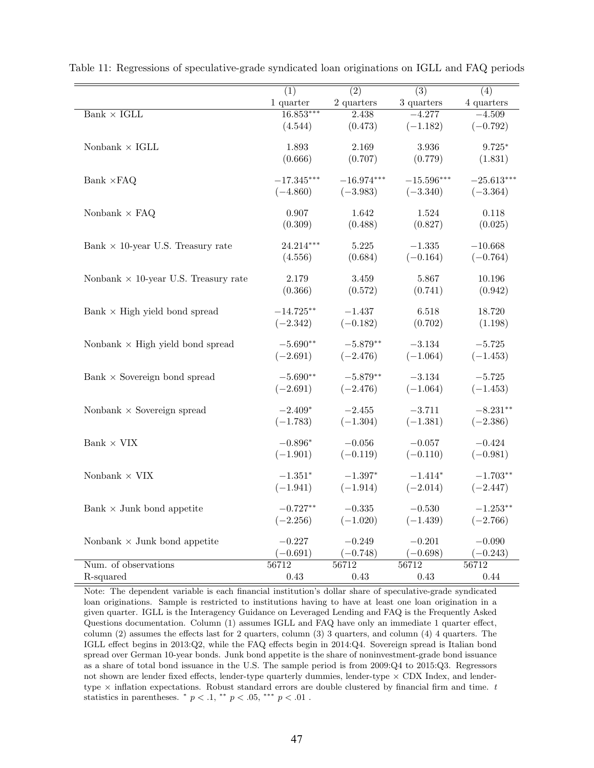|                                             | $\overline{(1)}$ | $\overline{(2)}$ | $\overline{(3)}$ | $\overline{(4)}$ |
|---------------------------------------------|------------------|------------------|------------------|------------------|
|                                             | 1 quarter        | 2 quarters       | 3 quarters       | 4 quarters       |
| Bank $\times$ IGLL                          | $16.853***$      | 2.438            | $-4.277$         | $-4.509$         |
|                                             | (4.544)          | (0.473)          | $(-1.182)$       | $(-0.792)$       |
|                                             |                  |                  |                  |                  |
| Nonbank $\times$ IGLL                       | 1.893            | 2.169            | 3.936            | $9.725*$         |
|                                             | (0.666)          | (0.707)          | (0.779)          | (1.831)          |
|                                             |                  |                  |                  |                  |
| Bank $\times$ FAQ                           | $-17.345***$     | $-16.974***$     | $-15.596***$     | $-25.613***$     |
|                                             | $(-4.860)$       | $(-3.983)$       | $(-3.340)$       | $(-3.364)$       |
| Nonbank $\times$ FAQ                        | 0.907            | 1.642            | 1.524            | 0.118            |
|                                             | (0.309)          | (0.488)          | (0.827)          | (0.025)          |
|                                             |                  |                  |                  |                  |
| Bank $\times$ 10-year U.S. Treasury rate    | 24.214***        | 5.225            | $-1.335$         | $-10.668$        |
|                                             | (4.556)          | (0.684)          | $(-0.164)$       | $(-0.764)$       |
|                                             |                  |                  |                  |                  |
| Nonbank $\times$ 10-year U.S. Treasury rate | 2.179            | $3.459\,$        | 5.867            | 10.196           |
|                                             | (0.366)          | (0.572)          | (0.741)          | (0.942)          |
|                                             |                  |                  |                  |                  |
| Bank $\times$ High yield bond spread        | $-14.725**$      | $-1.437$         | 6.518            | 18.720           |
|                                             | $(-2.342)$       | $(-0.182)$       | (0.702)          | (1.198)          |
|                                             |                  |                  |                  |                  |
| Nonbank $\times$ High yield bond spread     | $-5.690**$       | $-5.879**$       | $-3.134$         | $-5.725$         |
|                                             | $(-2.691)$       | $(-2.476)$       | $(-1.064)$       | $(-1.453)$       |
|                                             | $-5.690**$       | $-5.879**$       | $-3.134$         | $-5.725$         |
| Bank $\times$ Sovereign bond spread         |                  |                  |                  |                  |
|                                             | $(-2.691)$       | $(-2.476)$       | $(-1.064)$       | $(-1.453)$       |
| Nonbank $\times$ Sovereign spread           | $-2.409*$        | $-2.455$         | $-3.711$         | $-8.231**$       |
|                                             | $(-1.783)$       | $(-1.304)$       | $(-1.381)$       | $(-2.386)$       |
|                                             |                  |                  |                  |                  |
| Bank $\times$ VIX                           | $-0.896*$        | $-0.056$         | $-0.057$         | $-0.424$         |
|                                             | $(-1.901)$       | $(-0.119)$       | $(-0.110)$       | $(-0.981)$       |
|                                             |                  |                  |                  |                  |
| Nonbank $\times$ VIX                        | $-1.351*$        | $-1.397*$        | $-1.414*$        | $-1.703**$       |
|                                             | $(-1.941)$       | $(-1.914)$       | $(-2.014)$       | $(-2.447)$       |
|                                             |                  |                  |                  |                  |
| Bank $\times$ Junk bond appetite            | $-0.727**$       | $-0.335$         | $-0.530$         | $-1.253**$       |
|                                             | $(-2.256)$       | $(-1.020)$       | $(-1.439)$       | $(-2.766)$       |
|                                             | $-0.227$         | $-0.249$         | $-0.201$         | $-0.090$         |
| Nonbank $\times$ Junk bond appetite         |                  |                  |                  |                  |
|                                             | $(-0.691)$       | $(-0.748)$       | $(-0.698)$       | $(-0.243)$       |
| Num. of observations                        | 56712            | 56712            | 56712            | 56712            |
| R-squared                                   | 0.43             | 0.43             | 0.43             | 0.44             |

Table 11: Regressions of speculative-grade syndicated loan originations on IGLL and FAQ periods

Note: The dependent variable is each financial institution's dollar share of speculative-grade syndicated loan originations. Sample is restricted to institutions having to have at least one loan origination in a given quarter. IGLL is the Interagency Guidance on Leveraged Lending and FAQ is the Frequently Asked Questions documentation. Column (1) assumes IGLL and FAQ have only an immediate 1 quarter effect, column (2) assumes the effects last for 2 quarters, column (3) 3 quarters, and column (4) 4 quarters. The IGLL effect begins in 2013:Q2, while the FAQ effects begin in 2014:Q4. Sovereign spread is Italian bond spread over German 10-year bonds. Junk bond appetite is the share of noninvestment-grade bond issuance as a share of total bond issuance in the U.S. The sample period is from 2009:Q4 to 2015:Q3. Regressors not shown are lender fixed effects, lender-type quarterly dummies, lender-type  $\times$  CDX Index, and lendertype  $\times$  inflation expectations. Robust standard errors are double clustered by financial firm and time.  $t$ statistics in parentheses.  $* p < .1, ** p < .05, ** p < .01$ .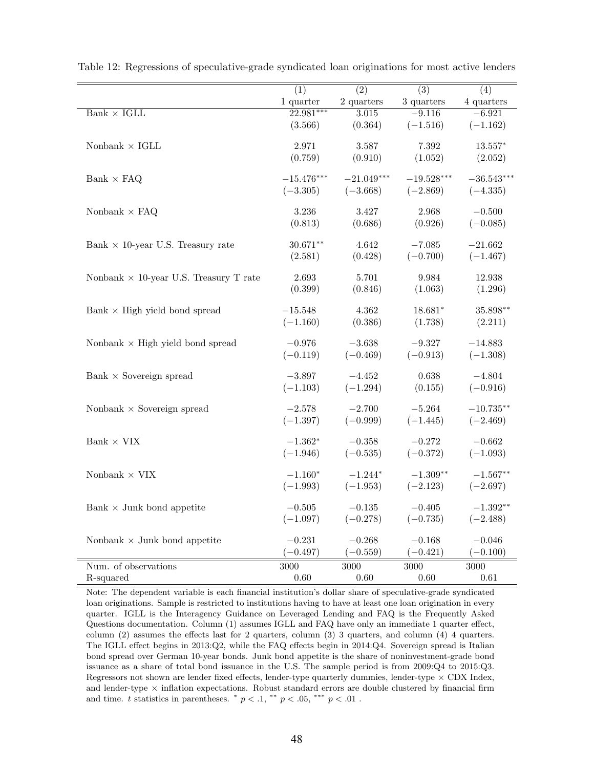|                                               | $\overline{(1)}$ | $\overline{(2)}$ | $\overline{(3)}$ | $\overline{(4)}$ |
|-----------------------------------------------|------------------|------------------|------------------|------------------|
|                                               | 1 quarter        | 2 quarters       | 3 quarters       | 4 quarters       |
| Bank $\times$ IGLL                            | $22.981***$      | 3.015            | $-9.116$         | $-6.921$         |
|                                               | (3.566)          | (0.364)          | $(-1.516)$       | $(-1.162)$       |
|                                               |                  |                  |                  |                  |
| Nonbank $\times$ IGLL                         | 2.971            | $3.587\,$        | 7.392            | $13.557*$        |
|                                               | (0.759)          | (0.910)          | (1.052)          | (2.052)          |
|                                               | $-15.476***$     |                  | $-19.528***$     |                  |
| Bank $\times$ FAQ                             |                  | $-21.049***$     |                  | $-36.543***$     |
|                                               | $(-3.305)$       | $(-3.668)$       | $(-2.869)$       | $(-4.335)$       |
| Nonbank $\times$ FAQ                          | 3.236            | 3.427            | 2.968            | $-0.500$         |
|                                               | (0.813)          | (0.686)          | (0.926)          | $(-0.085)$       |
|                                               |                  |                  |                  |                  |
| Bank $\times$ 10-year U.S. Treasury rate      | $30.671**$       | 4.642            | $-7.085$         | $-21.662$        |
|                                               | (2.581)          | (0.428)          | $(-0.700)$       | $(-1.467)$       |
|                                               |                  |                  |                  |                  |
| Nonbank $\times$ 10-year U.S. Treasury T rate | 2.693            | 5.701            | 9.984            | 12.938           |
|                                               | (0.399)          | (0.846)          | (1.063)          | (1.296)          |
| Bank $\times$ High yield bond spread          | $-15.548$        | $4.362\,$        | 18.681*          | 35.898**         |
|                                               | $(-1.160)$       | (0.386)          | (1.738)          | (2.211)          |
|                                               |                  |                  |                  |                  |
| Nonbank $\times$ High yield bond spread       | $-0.976$         | $-3.638$         | $-9.327$         | $-14.883$        |
|                                               | $(-0.119)$       | $(-0.469)$       | $(-0.913)$       | $(-1.308)$       |
|                                               |                  |                  |                  |                  |
| Bank $\times$ Sovereign spread                | $-3.897$         | $-4.452$         | 0.638            | $-4.804$         |
|                                               | $(-1.103)$       | $(-1.294)$       | (0.155)          | $(-0.916)$       |
|                                               |                  |                  | $-5.264$         |                  |
| Nonbank $\times$ Sovereign spread             | $-2.578$         | $-2.700$         |                  | $-10.735**$      |
|                                               | $(-1.397)$       | $(-0.999)$       | $(-1.445)$       | $(-2.469)$       |
| Bank $\times$ VIX                             | $-1.362*$        | $-0.358\,$       | $-0.272$         | $-0.662$         |
|                                               | $(-1.946)$       | $(-0.535)$       | $(-0.372)$       | $(-1.093)$       |
|                                               |                  |                  |                  |                  |
| Nonbank $\times$ VIX                          | $-1.160*$        | $-1.244*$        | $-1.309**$       | $-1.567**$       |
|                                               | $(-1.993)$       | $(-1.953)$       | $(-2.123)$       | $(-2.697)$       |
|                                               |                  |                  |                  |                  |
| Bank $\times$ Junk bond appetite              | $-0.505$         | $-0.135$         | $-0.405$         | $-1.392**$       |
|                                               | $(-1.097)$       | $(-0.278)$       | $(-0.735)$       | $(-2.488)$       |
| Nonbank $\times$ Junk bond appetite           | $-0.231$         | $-0.268$         | $-0.168$         | $-0.046$         |
|                                               | $(-0.497)$       | $(-0.559)$       | $(-0.421)$       | $(-0.100)$       |
|                                               |                  |                  |                  |                  |
| Num. of observations                          | 3000             | 3000             | 3000             | 3000             |
| R-squared                                     | 0.60             | 0.60             | 0.60             | 0.61             |

Table 12: Regressions of speculative-grade syndicated loan originations for most active lenders

Note: The dependent variable is each financial institution's dollar share of speculative-grade syndicated loan originations. Sample is restricted to institutions having to have at least one loan origination in every quarter. IGLL is the Interagency Guidance on Leveraged Lending and FAQ is the Frequently Asked Questions documentation. Column (1) assumes IGLL and FAQ have only an immediate 1 quarter effect, column (2) assumes the effects last for 2 quarters, column (3) 3 quarters, and column (4) 4 quarters. The IGLL effect begins in 2013:Q2, while the FAQ effects begin in 2014:Q4. Sovereign spread is Italian bond spread over German 10-year bonds. Junk bond appetite is the share of noninvestment-grade bond issuance as a share of total bond issuance in the U.S. The sample period is from 2009:Q4 to 2015:Q3. Regressors not shown are lender fixed effects, lender-type quarterly dummies, lender-type  $\times$  CDX Index, and lender-type  $\times$  inflation expectations. Robust standard errors are double clustered by financial firm and time. t statistics in parentheses.  $\frac{*}{p} < 0.1$ ,  $\frac{**}{p} < 0.05$ ,  $\frac{***}{p} < 0.01$ .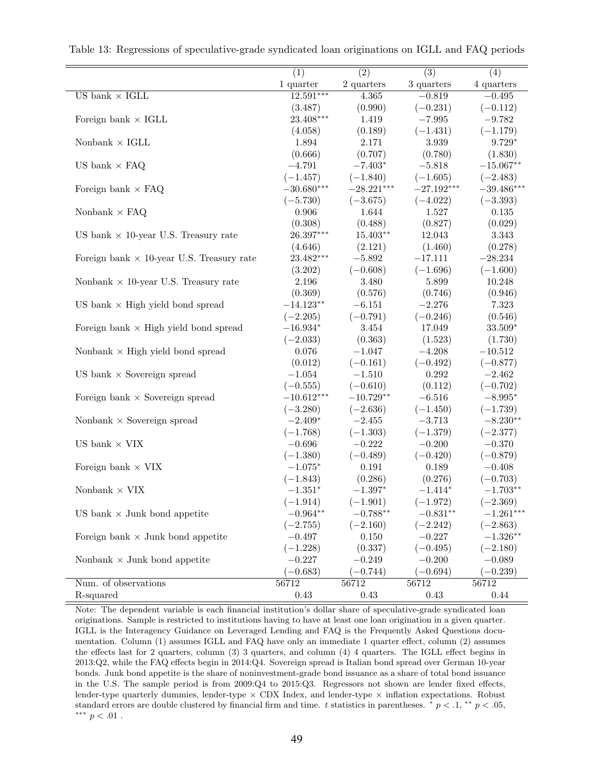|                                                  | $\overline{(1)}$ | $\overline{(2)}$ | $\overline{(3)}$ | (4)          |
|--------------------------------------------------|------------------|------------------|------------------|--------------|
|                                                  | 1 quarter        | 2 quarters       | 3 quarters       | 4 quarters   |
| US bank $\times$ IGLL                            | $12.591***$      | 4.365            | $-0.819$         | $-0.495$     |
|                                                  | (3.487)          | (0.990)          | $(-0.231)$       | $(-0.112)$   |
| Foreign bank $\times$ IGLL                       | $23.408***$      | 1.419            | $-7.995$         | $-9.782$     |
|                                                  | (4.058)          | (0.189)          | $(-1.431)$       | $(-1.179)$   |
| Nonbank $\times$ IGLL                            | 1.894            | 2.171            | $3.939\,$        | $9.729*$     |
|                                                  | (0.666)          | (0.707)          | (0.780)          | (1.830)      |
| US bank $\times$ FAQ                             | $-4.791$         | $-7.403*$        | $-5.818$         | $-15.067**$  |
|                                                  | $(-1.457)$       | $(-1.840)$       | $(-1.605)$       | $(-2.483)$   |
| Foreign bank $\times$ FAQ                        | $-30.680***$     | $-28.221***$     | $-27.192***$     | $-39.486***$ |
|                                                  | $(-5.730)$       | $(-3.675)$       | $(-4.022)$       | $(-3.393)$   |
| Nonbank $\times$ FAQ                             | 0.906            | 1.644            | 1.527            | $0.135\,$    |
|                                                  | (0.308)          | (0.488)          | (0.827)          | (0.029)      |
| US bank $\times$ 10-year U.S. Treasury rate      | 26.397***        | $15.403**$       | 12.043           | 3.343        |
|                                                  | (4.646)          | (2.121)          | (1.460)          | (0.278)      |
| Foreign bank $\times$ 10-year U.S. Treasury rate | 23.482***        | $-5.892$         | $-17.111$        | $-28.234$    |
|                                                  |                  | $(-0.608)$       | $(-1.696)$       | $(-1.600)$   |
|                                                  | (3.202)<br>2.196 |                  |                  |              |
| Nonbank $\times$ 10-year U.S. Treasury rate      |                  | 3.480            | 5.899            | 10.248       |
|                                                  | (0.369)          | (0.576)          | (0.746)          | (0.946)      |
| US bank $\times$ High yield bond spread          | $-14.123**$      | $-6.151$         | $-2.276$         | 7.323        |
|                                                  | $(-2.205)$       | $(-0.791)$       | $(-0.246)$       | (0.546)      |
| Foreign bank $\times$ High yield bond spread     | $-16.934*$       | $3.454\,$        | 17.049           | 33.509*      |
|                                                  | $(-2.033)$       | (0.363)          | (1.523)          | (1.730)      |
| Nonbank $\times$ High yield bond spread          | 0.076            | $-1.047$         | $-4.208$         | $-10.512$    |
|                                                  | (0.012)          | $(-0.161)$       | $(-0.492)$       | $(-0.877)$   |
| US bank $\times$ Sovereign spread                | $-1.054$         | $-1.510$         | $0.292\,$        | $-2.462$     |
|                                                  | $(-0.555)$       | $(-0.610)$       | (0.112)          | $(-0.702)$   |
| Foreign bank $\times$ Sovereign spread           | $-10.612***$     | $-10.729**$      | $-6.516$         | $-8.995*$    |
|                                                  | $(-3.280)$       | $(-2.636)$       | $(-1.450)$       | $(-1.739)$   |
| Nonbank $\times$ Sovereign spread                | $-2.409*$        | $-2.455$         | $-3.713$         | $-8.230**$   |
|                                                  | $(-1.768)$       | $(-1.303)$       | $(-1.379)$       | $(-2.377)$   |
| US bank $\times$ VIX                             | $-0.696$         | $-0.222$         | $-0.200$         | $-0.370$     |
|                                                  | $(-1.380)$       | $(-0.489)$       | $(-0.420)$       | $(-0.879)$   |
| Foreign bank $\times$ VIX                        | $-1.075*$        | $0.191\,$        | 0.189            | $-0.408$     |
|                                                  | $(-1.843)$       | (0.286)          | (0.276)          | $(-0.703)$   |
| Nonbank $\times$ VIX                             | $-1.351*$        | $-1.397*$        | $-1.414*$        | $-1.703**$   |
|                                                  | $(-1.914)$       | $(-1.901)$       | $(-1.972)$       | $(-2.369)$   |
| US bank $\times$ Junk bond appetite              | $-0.964**$       | $-0.788**$       | $-0.831**$       | $-1.261***$  |
|                                                  | $(-2.755)$       | $(-2.160)$       | $(-2.242)$       | $(-2.863)$   |
| Foreign bank $\times$ Junk bond appetite         | $-0.497$         | 0.150            | $-0.227$         | $-1.326**$   |
|                                                  | $(-1.228)$       | (0.337)          | $(-0.495)$       | $(-2.180)$   |
| Nonbank $\times$ Junk bond appetite              | $-0.227$         | $-0.249$         | $-0.200$         | $-0.089$     |
|                                                  | $(-0.683)$       | $(-0.744)$       | $(-0.694)$       | $(-0.239)$   |
| Num. of observations                             | 56712            | 56712            | 56712            | 56712        |
| R-squared                                        | 0.43             | 0.43             | 0.43             | 0.44         |
|                                                  |                  |                  |                  |              |

Table 13: Regressions of speculative-grade syndicated loan originations on IGLL and FAQ periods

Note: The dependent variable is each financial institution's dollar share of speculative-grade syndicated loan originations. Sample is restricted to institutions having to have at least one loan origination in a given quarter. IGLL is the Interagency Guidance on Leveraged Lending and FAQ is the Frequently Asked Questions documentation. Column (1) assumes IGLL and FAQ have only an immediate 1 quarter effect, column (2) assumes the effects last for 2 quarters, column (3) 3 quarters, and column (4) 4 quarters. The IGLL effect begins in 2013:Q2, while the FAQ effects begin in 2014:Q4. Sovereign spread is Italian bond spread over German 10-year bonds. Junk bond appetite is the share of noninvestment-grade bond issuance as a share of total bond issuance in the U.S. The sample period is from 2009:Q4 to 2015:Q3. Regressors not shown are lender fixed effects, lender-type quarterly dummies, lender-type  $\times$  CDX Index, and lender-type  $\times$  inflation expectations. Robust standard errors are double clustered by financial firm and time. t statistics in parentheses.  $\frac{*}{p} < .1, \frac{*}{p} < .05$ , ∗∗∗ p < .01 .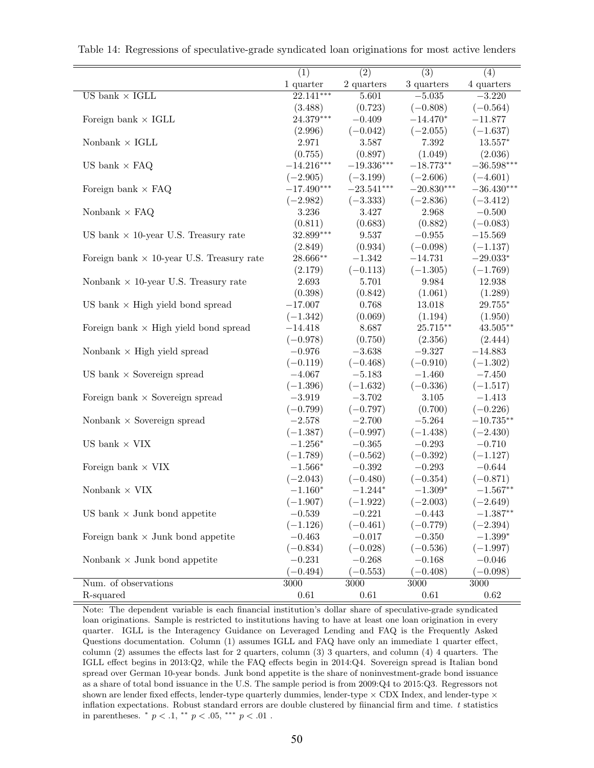|                                                  | $\overline{(1)}$ | $\overline{(2)}$         | $\overline{(3)}$ | (4)              |
|--------------------------------------------------|------------------|--------------------------|------------------|------------------|
|                                                  | $1$ quarter      | 2 quarters               | 3 quarters       | 4 quarters       |
| US bank $\times$ IGLL                            | $22.141***$      | 5.601                    | $-5.035$         | $-3.220$         |
|                                                  | (3.488)          | (0.723)                  | $(-0.808)$       | $(-0.564)$       |
| Foreign bank $\times$ IGLL                       | 24.379***        | $-0.409$                 | $-14.470*$       | $-11.877$        |
|                                                  | (2.996)          | $(-0.042)$               | $(-2.055)$       | $(-1.637)$       |
| Nonbank $\times$ IGLL                            | 2.971            | $3.587\,$                | $7.392\,$        | $13.557*$        |
|                                                  | (0.755)          | (0.897)                  | (1.049)          | (2.036)          |
| US bank $\times$ FAQ                             | $-14.216***$     | $-19.336^{\ast\ast\ast}$ | $-18.773**$      | $-36.598***$     |
|                                                  | $(-2.905)$       | $(-3.199)$               | $(-2.606)$       | $(-4.601)$       |
| Foreign bank $\times$ FAQ                        | $-17.490***$     | $-23.541^{\ast\ast\ast}$ | $-20.830***$     | $-36.430***$     |
|                                                  | $(-2.982)$       | $(-3.333)$               | $(-2.836)$       | $(-3.412)$       |
| Nonbank $\times$ FAQ                             | $3.236\,$        | 3.427                    | $2.968\,$        | $-0.500$         |
|                                                  | (0.811)          | (0.683)                  | (0.882)          | $(-0.083)$       |
| US bank $\times$ 10-year U.S. Treasury rate      | $32.899***$      | $9.537\,$                | $-0.955$         | $-15.569$        |
|                                                  | (2.849)          | (0.934)                  | $(-0.098)$       | $(-1.137)$       |
| Foreign bank $\times$ 10-year U.S. Treasury rate | 28.666**         | $-1.342$                 | $-14.731$        | $-29.033^{\ast}$ |
|                                                  | (2.179)          | $(-0.113)$               | $(-1.305)$       | $(-1.769)$       |
| Nonbank $\times$ 10-year U.S. Treasury rate      | 2.693            | 5.701                    | 9.984            | 12.938           |
|                                                  | (0.398)          | (0.842)                  | (1.061)          | (1.289)          |
| US bank $\times$ High yield bond spread          | $-17.007$        | 0.768                    | 13.018           | $29.755^{\ast}$  |
|                                                  | $(-1.342)$       | (0.069)                  | (1.194)          | (1.950)          |
| Foreign bank $\times$ High yield bond spread     | $-14.418$        | 8.687                    | $25.715***$      | $43.505***$      |
|                                                  | $(-0.978)$       | (0.750)                  | (2.356)          | (2.444)          |
| Nonbank $\times$ High yield spread               | $-0.976$         | $-3.638$                 | $-9.327$         | $-14.883$        |
|                                                  | $(-0.119)$       | $(-0.468)$               | $(-0.910)$       | $(-1.302)$       |
| US bank $\times$ Sovereign spread                | $-4.067$         | $-5.183$                 | $-1.460$         | $-7.450$         |
|                                                  | $(-1.396)$       | $(-1.632)$               | $(-0.336)$       | $(-1.517)$       |
| Foreign bank $\times$ Sovereign spread           | $-3.919$         | $-3.702$                 | 3.105            | $-1.413$         |
|                                                  | $(-0.799)$       | $(-0.797)$               | (0.700)          | $(-0.226)$       |
| Nonbank $\times$ Sovereign spread                | $-2.578$         | $-2.700$                 | $-5.264$         | $-10.735**$      |
|                                                  | $(-1.387)$       | $(-0.997)$               | $(-1.438)$       | $(-2.430)$       |
| US bank $\times$ VIX                             | $-1.256*$        | $-0.365$                 | $-0.293$         | $-0.710$         |
|                                                  | $(-1.789)$       | $(-0.562)$               | $(-0.392)$       | $(-1.127)$       |
| Foreign bank $\times$ VIX                        | $-1.566*$        | $-0.392$                 | $-0.293$         | $-0.644$         |
|                                                  | $(-2.043)$       | $(-0.480)$               | $(-0.354)$       | $(-0.871)$       |
| Nonbank $\times$ VIX                             | $-1.160*$        | $-1.244*$                | $-1.309*$        | $-1.567**$       |
|                                                  | $(-1.907)$       | $(-1.922)$               | $(-2.003)$       | $(-2.649)$       |
| US bank $\times$ Junk bond appetite              | $-0.539$         | $-0.221$                 | $-0.443$         | $-1.387**$       |
|                                                  | $(-1.126)$       | $(-0.461)$               | $(-0.779)$       | $(-2.394)$       |
| Foreign bank $\times$ Junk bond appetite         | $-0.463$         | $-0.017$                 | $-0.350$         | $-1.399*$        |
|                                                  | $(-0.834)$       | $(-0.028)$               | $(-0.536)$       | $(-1.997)$       |
| Nonbank $\times$ Junk bond appetite              | $-0.231$         | $-0.268$                 | $-0.168$         | $-0.046$         |
|                                                  | $(-0.494)$       | $(-0.553)$               | $(-0.408)$       | $(-0.098)$       |
| Num. of observations                             | 3000             | 3000                     | 3000             | 3000             |
| R-squared                                        | 0.61             | 0.61                     | 0.61             | 0.62             |

Table 14: Regressions of speculative-grade syndicated loan originations for most active lenders

Note: The dependent variable is each financial institution's dollar share of speculative-grade syndicated loan originations. Sample is restricted to institutions having to have at least one loan origination in every quarter. IGLL is the Interagency Guidance on Leveraged Lending and FAQ is the Frequently Asked Questions documentation. Column (1) assumes IGLL and FAQ have only an immediate 1 quarter effect, column (2) assumes the effects last for 2 quarters, column (3) 3 quarters, and column (4) 4 quarters. The IGLL effect begins in 2013:Q2, while the FAQ effects begin in 2014:Q4. Sovereign spread is Italian bond spread over German 10-year bonds. Junk bond appetite is the share of noninvestment-grade bond issuance as a share of total bond issuance in the U.S. The sample period is from 2009:Q4 to 2015:Q3. Regressors not shown are lender fixed effects, lender-type quarterly dummies, lender-type  $\times$  CDX Index, and lender-type  $\times$ inflation expectations. Robust standard errors are double clustered by fiinancial firm and time. t statistics in parentheses.  $*$   $p < .1,$   $**$   $p < .05,$   $**$   $p < .01$ .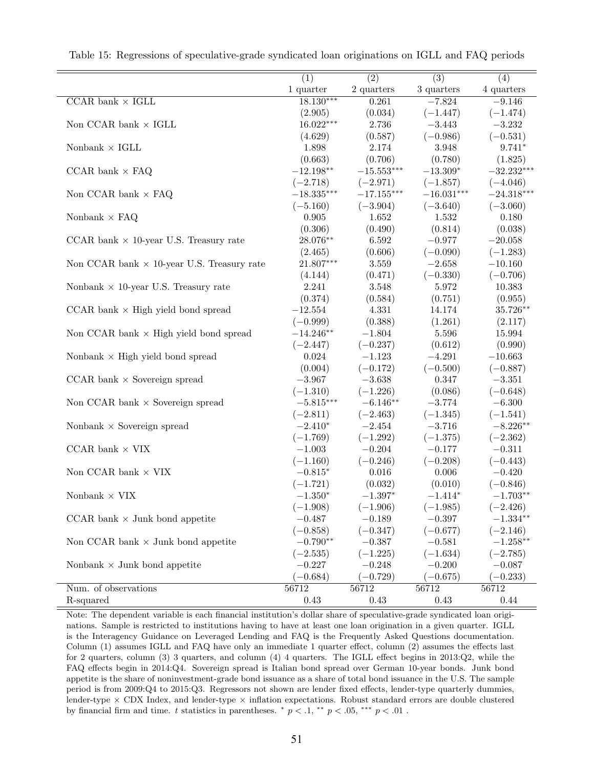|                                                   | $\overline{(1)}$ | $\overline{(2)}$  | $\overline{(3)}$ | (4)          |
|---------------------------------------------------|------------------|-------------------|------------------|--------------|
|                                                   | 1 quarter        | $2$ quarters $\,$ | 3 quarters       | 4 quarters   |
| CCAR bank $\times$ IGLL                           | $18.130***$      | 0.261             | $-7.824$         | $-9.146$     |
|                                                   | (2.905)          | (0.034)           | $(-1.447)$       | $(-1.474)$   |
| Non CCAR bank $\times$ IGLL                       | $16.022***$      | 2.736             | $-3.443$         | $-3.232$     |
|                                                   | (4.629)          | (0.587)           | $(-0.986)$       | $(-0.531)$   |
| Nonbank $\times$ IGLL                             | 1.898            | 2.174             | $3.948\,$        | $9.741*$     |
|                                                   | (0.663)          | (0.706)           | (0.780)          | (1.825)      |
| CCAR bank $\times$ FAQ                            | $-12.198**$      | $-15.553***$      | $-13.309*$       | $-32.232***$ |
|                                                   | $(-2.718)$       | $(-2.971)$        | $(-1.857)$       | $(-4.046)$   |
| Non CCAR bank $\times$ FAQ                        | $-18.335***$     | $-17.155***$      | $-16.031***$     | $-24.318***$ |
|                                                   | $(-5.160)$       | $(-3.904)$        | $(-3.640)$       | $(-3.060)$   |
| Nonbank $\times$ FAQ                              | $\,0.905\,$      | 1.652             | 1.532            | 0.180        |
|                                                   | (0.306)          | (0.490)           | (0.814)          | (0.038)      |
| CCAR bank $\times$ 10-year U.S. Treasury rate     | 28.076**         | 6.592             | $-0.977$         | $-20.058$    |
|                                                   | (2.465)          | (0.606)           | $(-0.090)$       | $(-1.283)$   |
| Non CCAR bank $\times$ 10-year U.S. Treasury rate | $21.807***$      | $3.559\,$         | $-2.658$         | $-10.160$    |
|                                                   | (4.144)          | (0.471)           | $(-0.330)$       | $(-0.706)$   |
| Nonbank $\times$ 10-year U.S. Treasury rate       | 2.241            | $3.548\,$         | 5.972            | 10.383       |
|                                                   | (0.374)          | (0.584)           | (0.751)          | (0.955)      |
| $CCAR$ bank $\times$ High yield bond spread       | $-12.554$        | 4.331             | 14.174           | 35.726**     |
|                                                   | $(-0.999)$       | (0.388)           | (1.261)          | (2.117)      |
| Non CCAR bank $\times$ High yield bond spread     | $-14.246**$      | $-1.804$          | 5.596            | 15.994       |
|                                                   | $(-2.447)$       | $(-0.237)$        | (0.612)          | (0.990)      |
| Nonbank $\times$ High yield bond spread           | $\,0.024\,$      | $-1.123$          | $-4.291$         | $-10.663$    |
|                                                   | (0.004)          | $(-0.172)$        | $(-0.500)$       | $(-0.887)$   |
| CCAR bank $\times$ Sovereign spread               | $-3.967$         | $-3.638$          | 0.347            | $-3.351$     |
|                                                   | $(-1.310)$       | $(-1.226)$        | (0.086)          | $(-0.648)$   |
| Non CCAR bank $\times$ Sovereign spread           | $-5.815***$      | $-6.146**$        | $-3.774$         | $-6.300$     |
|                                                   | $(-2.811)$       | $(-2.463)$        | $(-1.345)$       | $(-1.541)$   |
| Nonbank $\times$ Sovereign spread                 | $-2.410*$        | $-2.454$          | $-3.716\,$       | $-8.226**$   |
|                                                   | $(-1.769)$       | $(-1.292)$        | $(-1.375)$       | $(-2.362)$   |
| CCAR bank $\times$ VIX                            | $-1.003$         | $-0.204$          | $-0.177$         | $-0.311$     |
|                                                   | $(-1.160)$       | $(-0.246)$        | $(-0.208)$       | $(-0.443)$   |
| Non CCAR bank $\times$ VIX                        | $-0.815*$        | $0.016\,$         | 0.006            | $-0.420$     |
|                                                   | $(-1.721)$       | (0.032)           | (0.010)          | $(-0.846)$   |
| Nonbank $\times$ VIX                              | $-1.350*$        | $-1.397*$         | $-1.414*$        | $-1.703**$   |
|                                                   | $(-1.908)$       | $(-1.906)$        | $(-1.985)$       | $(-2.426)$   |
| CCAR bank $\times$ Junk bond appetite             | $-0.487$         | $-0.189$          | $-0.397$         | $-1.334**$   |
|                                                   | $(-0.858)$       | $(-0.347)$        | $(-0.677)$       | $(-2.146)$   |
|                                                   | $-0.790**$       | $-0.387$          | $-0.581\,$       |              |
| Non CCAR bank $\times$ Junk bond appetite         |                  |                   |                  | $-1.258**$   |
|                                                   | $(-2.535)$       | $(-1.225)$        | $(-1.634)$       | $(-2.785)$   |
| Nonbank $\times$ Junk bond appetite               | $-0.227$         | $-0.248$          | $-0.200$         | $-0.087$     |
|                                                   | $(-0.684)$       | $(-0.729)$        | $(-0.675)$       | $(-0.233)$   |
| Num. of observations                              | 56712            | 56712             | 56712            | 56712        |
| R-squared                                         | 0.43             | 0.43              | 0.43             | 0.44         |

Table 15: Regressions of speculative-grade syndicated loan originations on IGLL and FAQ periods

Note: The dependent variable is each financial institution's dollar share of speculative-grade syndicated loan originations. Sample is restricted to institutions having to have at least one loan origination in a given quarter. IGLL is the Interagency Guidance on Leveraged Lending and FAQ is the Frequently Asked Questions documentation. Column (1) assumes IGLL and FAQ have only an immediate 1 quarter effect, column (2) assumes the effects last for 2 quarters, column (3) 3 quarters, and column (4) 4 quarters. The IGLL effect begins in 2013:Q2, while the FAQ effects begin in 2014:Q4. Sovereign spread is Italian bond spread over German 10-year bonds. Junk bond appetite is the share of noninvestment-grade bond issuance as a share of total bond issuance in the U.S. The sample period is from 2009:Q4 to 2015:Q3. Regressors not shown are lender fixed effects, lender-type quarterly dummies, lender-type  $\times$  CDX Index, and lender-type  $\times$  inflation expectations. Robust standard errors are double clustered by financial firm and time. t statistics in parentheses.  $\binom{*}{p} < 0.1$ ,  $\binom{**}{p} < 0.05$ ,  $\binom{***}{p} < 0.01$ .